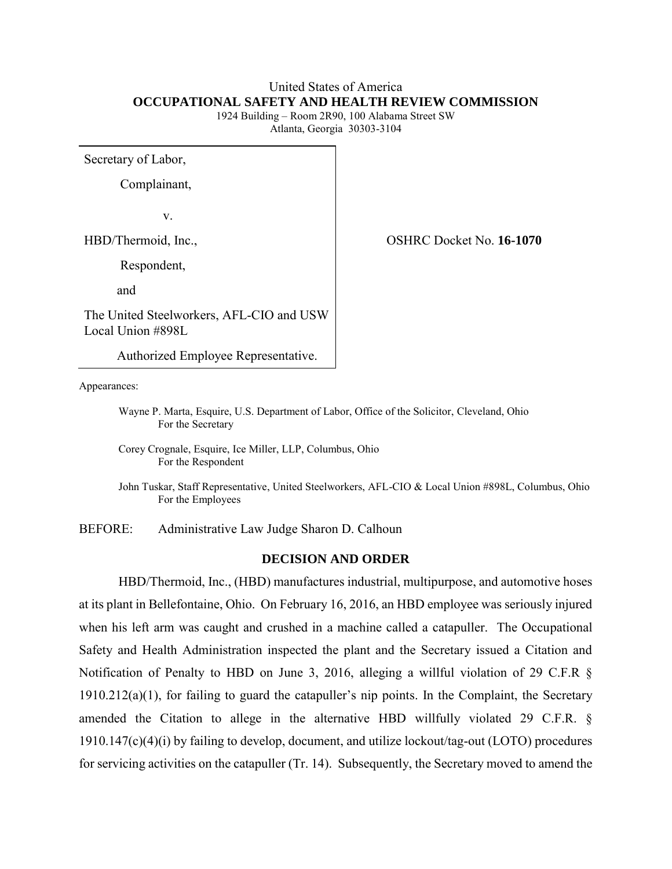#### United States of America **OCCUPATIONAL SAFETY AND HEALTH REVIEW COMMISSION**

1924 Building – Room 2R90, 100 Alabama Street SW Atlanta, Georgia 30303-3104

Secretary of Labor,

Complainant,

v. and the contract of the contract of the contract of the contract of the contract of the contract of the contract of the contract of the contract of the contract of the contract of the contract of the contract of the con

Respondent,

and

The United Steelworkers, AFL-CIO and USW Local Union #898L

Authorized Employee Representative.

Appearances:

Wayne P. Marta, Esquire, U.S. Department of Labor, Office of the Solicitor, Cleveland, Ohio For the Secretary

Corey Crognale, Esquire, Ice Miller, LLP, Columbus, Ohio For the Respondent

John Tuskar, Staff Representative, United Steelworkers, AFL-CIO & Local Union #898L, Columbus, Ohio For the Employees

BEFORE: Administrative Law Judge Sharon D. Calhoun

#### **DECISION AND ORDER**

HBD/Thermoid, Inc., (HBD) manufactures industrial, multipurpose, and automotive hoses at its plant in Bellefontaine, Ohio. On February 16, 2016, an HBD employee was seriously injured when his left arm was caught and crushed in a machine called a catapuller. The Occupational Safety and Health Administration inspected the plant and the Secretary issued a Citation and Notification of Penalty to HBD on June 3, 2016, alleging a willful violation of 29 C.F.R § 1910.212(a)(1), for failing to guard the catapuller's nip points. In the Complaint, the Secretary amended the Citation to allege in the alternative HBD willfully violated 29 C.F.R. § 1910.147(c)(4)(i) by failing to develop, document, and utilize lockout/tag-out (LOTO) procedures for servicing activities on the catapuller (Tr. 14). Subsequently, the Secretary moved to amend the

HBD/Thermoid, Inc., OSHRC Docket No. **16-1070**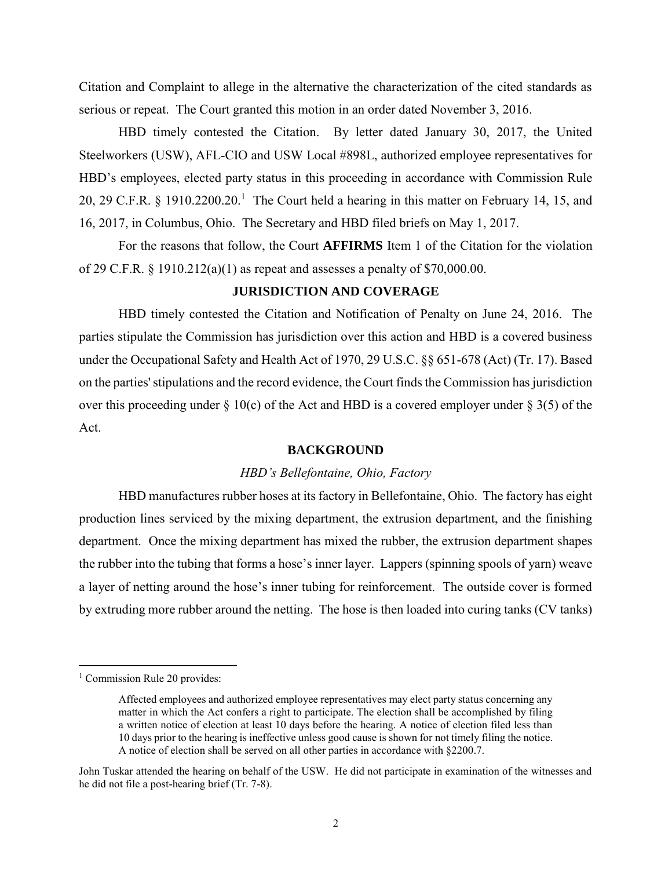Citation and Complaint to allege in the alternative the characterization of the cited standards as serious or repeat. The Court granted this motion in an order dated November 3, 2016.

HBD timely contested the Citation. By letter dated January 30, 2017, the United Steelworkers (USW), AFL-CIO and USW Local #898L, authorized employee representatives for HBD's employees, elected party status in this proceeding in accordance with Commission Rule 20, 29 C.F.R. § 1910.2200.20.<sup>1</sup> The Court held a hearing in this matter on February 14, 15, and 16, 2017, in Columbus, Ohio. The Secretary and HBD filed briefs on May 1, 2017.

For the reasons that follow, the Court **AFFIRMS** Item 1 of the Citation for the violation of 29 C.F.R. § 1910.212(a)(1) as repeat and assesses a penalty of \$70,000.00.

# **JURISDICTION AND COVERAGE**

HBD timely contested the Citation and Notification of Penalty on June 24, 2016. The parties stipulate the Commission has jurisdiction over this action and HBD is a covered business under the Occupational Safety and Health Act of 1970, 29 U.S.C. §§ 651-678 (Act) (Tr. 17). Based on the parties' stipulations and the record evidence, the Court finds the Commission has jurisdiction over this proceeding under  $\S 10(c)$  of the Act and HBD is a covered employer under  $\S 3(5)$  of the Act.

#### **BACKGROUND**

#### *HBD's Bellefontaine, Ohio, Factory*

HBD manufactures rubber hoses at its factory in Bellefontaine, Ohio. The factory has eight production lines serviced by the mixing department, the extrusion department, and the finishing department. Once the mixing department has mixed the rubber, the extrusion department shapes the rubber into the tubing that forms a hose's inner layer. Lappers (spinning spools of yarn) weave a layer of netting around the hose's inner tubing for reinforcement. The outside cover is formed by extruding more rubber around the netting. The hose is then loaded into curing tanks (CV tanks)

<sup>&</sup>lt;sup>1</sup> Commission Rule 20 provides:

Affected employees and authorized employee representatives may elect party status concerning any matter in which the Act confers a right to participate. The election shall be accomplished by filing a written notice of election at least 10 days before the hearing. A notice of election filed less than 10 days prior to the hearing is ineffective unless good cause is shown for not timely filing the notice. A notice of election shall be served on all other parties in accordance with §2200.7.

John Tuskar attended the hearing on behalf of the USW. He did not participate in examination of the witnesses and he did not file a post-hearing brief (Tr. 7-8).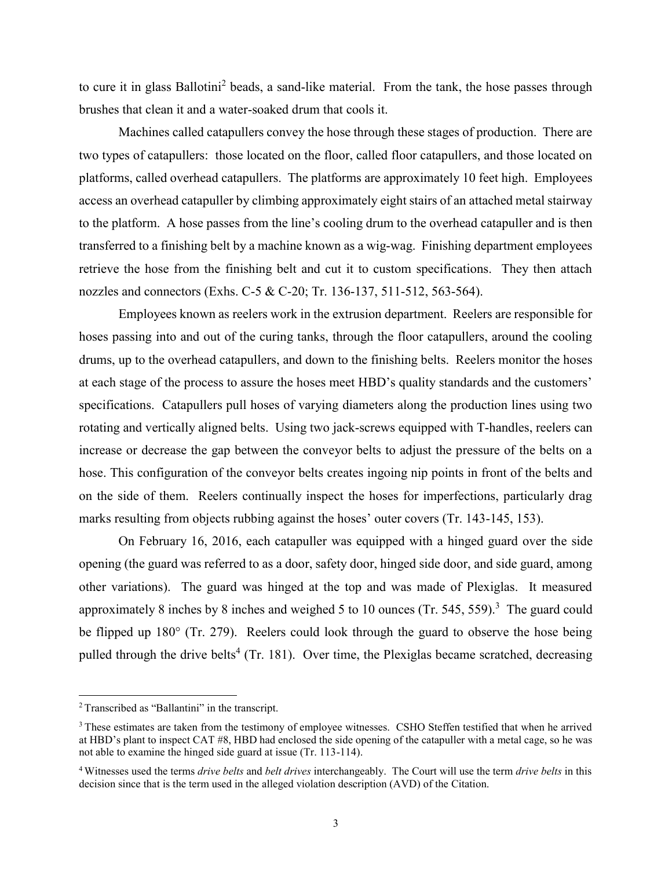to cure it in glass Ballotini<sup>2</sup> beads, a sand-like material. From the tank, the hose passes through brushes that clean it and a water-soaked drum that cools it.

Machines called catapullers convey the hose through these stages of production. There are two types of catapullers: those located on the floor, called floor catapullers, and those located on platforms, called overhead catapullers. The platforms are approximately 10 feet high. Employees access an overhead catapuller by climbing approximately eight stairs of an attached metal stairway to the platform. A hose passes from the line's cooling drum to the overhead catapuller and is then transferred to a finishing belt by a machine known as a wig-wag. Finishing department employees retrieve the hose from the finishing belt and cut it to custom specifications. They then attach nozzles and connectors (Exhs. C-5 & C-20; Tr. 136-137, 511-512, 563-564).

Employees known as reelers work in the extrusion department. Reelers are responsible for hoses passing into and out of the curing tanks, through the floor catapullers, around the cooling drums, up to the overhead catapullers, and down to the finishing belts. Reelers monitor the hoses at each stage of the process to assure the hoses meet HBD's quality standards and the customers' specifications. Catapullers pull hoses of varying diameters along the production lines using two rotating and vertically aligned belts. Using two jack-screws equipped with T-handles, reelers can increase or decrease the gap between the conveyor belts to adjust the pressure of the belts on a hose. This configuration of the conveyor belts creates ingoing nip points in front of the belts and on the side of them. Reelers continually inspect the hoses for imperfections, particularly drag marks resulting from objects rubbing against the hoses' outer covers (Tr. 143-145, 153).

On February 16, 2016, each catapuller was equipped with a hinged guard over the side opening (the guard was referred to as a door, safety door, hinged side door, and side guard, among other variations). The guard was hinged at the top and was made of Plexiglas. It measured approximately 8 inches by 8 inches and weighed 5 to 10 ounces (Tr. 545, 559).<sup>3</sup> The guard could be flipped up 180° (Tr. 279). Reelers could look through the guard to observe the hose being pulled through the drive belts<sup>4</sup> (Tr. 181). Over time, the Plexiglas became scratched, decreasing

<sup>&</sup>lt;sup>2</sup> Transcribed as "Ballantini" in the transcript.

<sup>&</sup>lt;sup>3</sup> These estimates are taken from the testimony of employee witnesses. CSHO Steffen testified that when he arrived at HBD's plant to inspect CAT #8, HBD had enclosed the side opening of the catapuller with a metal cage, so he was not able to examine the hinged side guard at issue (Tr. 113-114).

<sup>4</sup> Witnesses used the terms *drive belts* and *belt drives* interchangeably. The Court will use the term *drive belts* in this decision since that is the term used in the alleged violation description (AVD) of the Citation.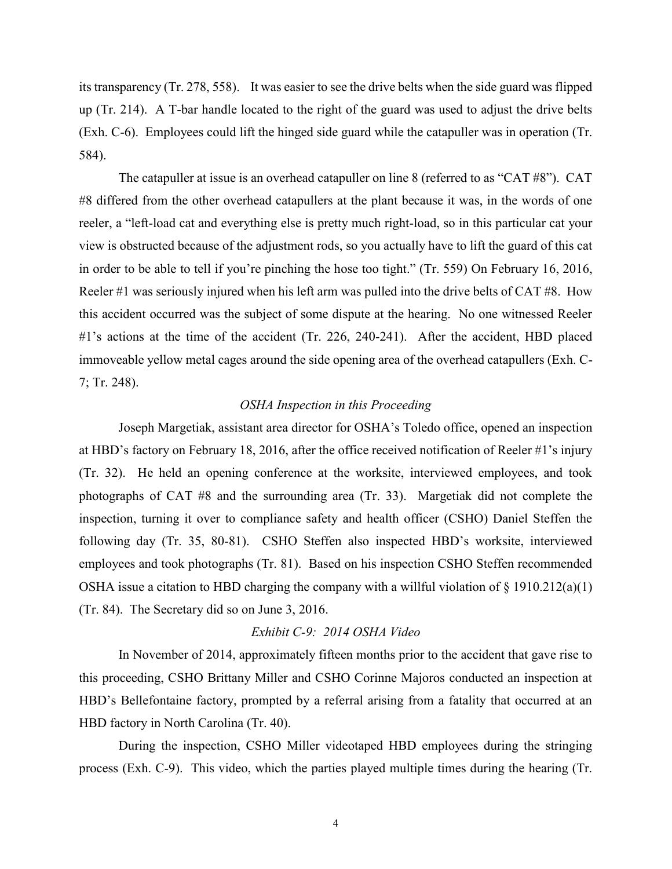its transparency (Tr. 278, 558). It was easier to see the drive belts when the side guard was flipped up (Tr. 214). A T-bar handle located to the right of the guard was used to adjust the drive belts (Exh. C-6). Employees could lift the hinged side guard while the catapuller was in operation (Tr. 584).

The catapuller at issue is an overhead catapuller on line 8 (referred to as "CAT #8"). CAT #8 differed from the other overhead catapullers at the plant because it was, in the words of one reeler, a "left-load cat and everything else is pretty much right-load, so in this particular cat your view is obstructed because of the adjustment rods, so you actually have to lift the guard of this cat in order to be able to tell if you're pinching the hose too tight." (Tr. 559) On February 16, 2016, Reeler #1 was seriously injured when his left arm was pulled into the drive belts of CAT #8. How this accident occurred was the subject of some dispute at the hearing. No one witnessed Reeler #1's actions at the time of the accident (Tr. 226, 240-241). After the accident, HBD placed immoveable yellow metal cages around the side opening area of the overhead catapullers (Exh. C-7; Tr. 248).

# *OSHA Inspection in this Proceeding*

Joseph Margetiak, assistant area director for OSHA's Toledo office, opened an inspection at HBD's factory on February 18, 2016, after the office received notification of Reeler #1's injury (Tr. 32). He held an opening conference at the worksite, interviewed employees, and took photographs of CAT #8 and the surrounding area (Tr. 33). Margetiak did not complete the inspection, turning it over to compliance safety and health officer (CSHO) Daniel Steffen the following day (Tr. 35, 80-81). CSHO Steffen also inspected HBD's worksite, interviewed employees and took photographs (Tr. 81). Based on his inspection CSHO Steffen recommended OSHA issue a citation to HBD charging the company with a willful violation of  $\S$  1910.212(a)(1) (Tr. 84). The Secretary did so on June 3, 2016.

#### *Exhibit C-9: 2014 OSHA Video*

In November of 2014, approximately fifteen months prior to the accident that gave rise to this proceeding, CSHO Brittany Miller and CSHO Corinne Majoros conducted an inspection at HBD's Bellefontaine factory, prompted by a referral arising from a fatality that occurred at an HBD factory in North Carolina (Tr. 40).

During the inspection, CSHO Miller videotaped HBD employees during the stringing process (Exh. C-9). This video, which the parties played multiple times during the hearing (Tr.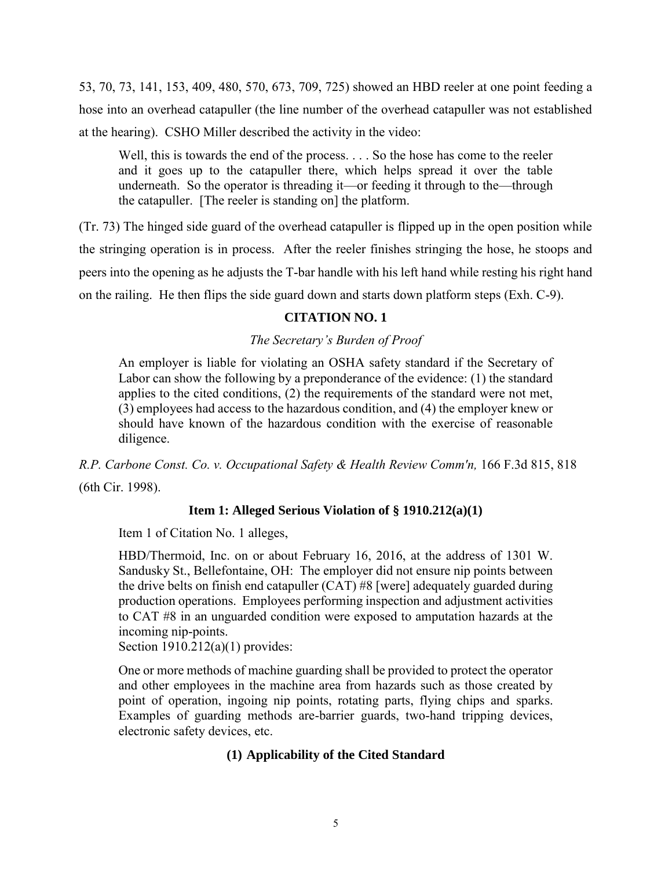53, 70, 73, 141, 153, 409, 480, 570, 673, 709, 725) showed an HBD reeler at one point feeding a hose into an overhead catapuller (the line number of the overhead catapuller was not established at the hearing). CSHO Miller described the activity in the video:

Well, this is towards the end of the process. . . . So the hose has come to the reeler and it goes up to the catapuller there, which helps spread it over the table underneath. So the operator is threading it—or feeding it through to the—through the catapuller. [The reeler is standing on] the platform.

(Tr. 73) The hinged side guard of the overhead catapuller is flipped up in the open position while the stringing operation is in process. After the reeler finishes stringing the hose, he stoops and peers into the opening as he adjusts the T-bar handle with his left hand while resting his right hand on the railing. He then flips the side guard down and starts down platform steps (Exh. C-9).

# **CITATION NO. 1**

# *The Secretary's Burden of Proof*

An employer is liable for violating an OSHA safety standard if the Secretary of Labor can show the following by a preponderance of the evidence: (1) the standard applies to the cited conditions, (2) the requirements of the standard were not met, (3) employees had access to the hazardous condition, and (4) the employer knew or should have known of the hazardous condition with the exercise of reasonable diligence.

*R.P. Carbone Const. Co. v. Occupational Safety & Health Review Comm'n,* 166 F.3d 815, 818 (6th Cir. 1998).

# **Item 1: Alleged Serious Violation of § 1910.212(a)(1)**

Item 1 of Citation No. 1 alleges,

HBD/Thermoid, Inc. on or about February 16, 2016, at the address of 1301 W. Sandusky St., Bellefontaine, OH: The employer did not ensure nip points between the drive belts on finish end catapuller (CAT) #8 [were] adequately guarded during production operations. Employees performing inspection and adjustment activities to CAT #8 in an unguarded condition were exposed to amputation hazards at the incoming nip-points.

Section 1910.212(a)(1) provides:

One or more methods of machine guarding shall be provided to protect the operator and other employees in the machine area from hazards such as those created by point of operation, ingoing nip points, rotating parts, flying chips and sparks. Examples of guarding methods are-barrier guards, two-hand tripping devices, electronic safety devices, etc.

# **(1) Applicability of the Cited Standard**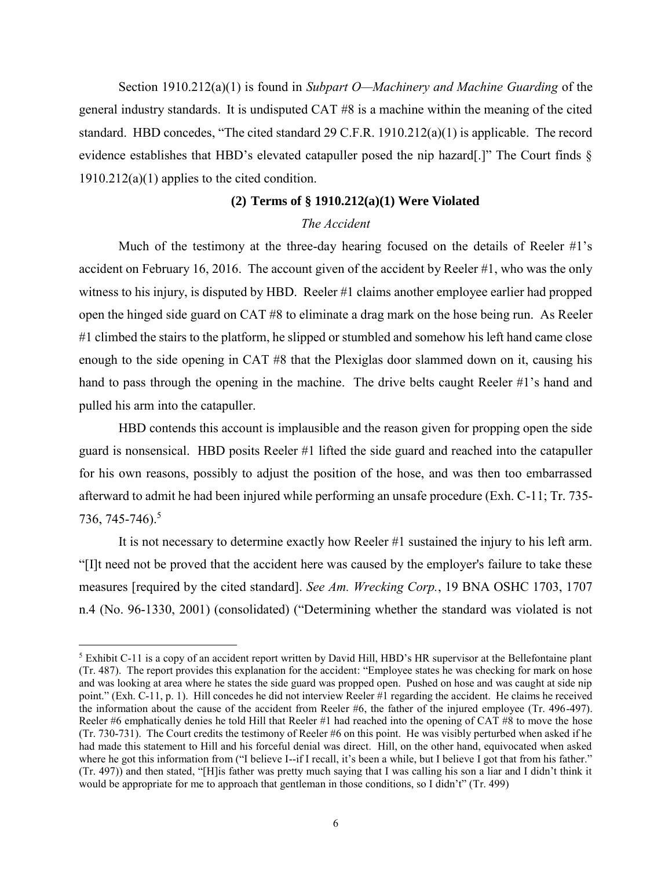Section 1910.212(a)(1) is found in *Subpart O—Machinery and Machine Guarding* of the general industry standards. It is undisputed CAT #8 is a machine within the meaning of the cited standard. HBD concedes, "The cited standard 29 C.F.R. 1910.212(a)(1) is applicable. The record evidence establishes that HBD's elevated catapuller posed the nip hazard[.]" The Court finds § 1910.212(a)(1) applies to the cited condition.

#### **(2) Terms of § 1910.212(a)(1) Were Violated**

## *The Accident*

Much of the testimony at the three-day hearing focused on the details of Reeler  $\#1$ 's accident on February 16, 2016. The account given of the accident by Reeler #1, who was the only witness to his injury, is disputed by HBD. Reeler #1 claims another employee earlier had propped open the hinged side guard on CAT #8 to eliminate a drag mark on the hose being run. As Reeler #1 climbed the stairs to the platform, he slipped or stumbled and somehow his left hand came close enough to the side opening in CAT #8 that the Plexiglas door slammed down on it, causing his hand to pass through the opening in the machine. The drive belts caught Reeler #1's hand and pulled his arm into the catapuller.

HBD contends this account is implausible and the reason given for propping open the side guard is nonsensical. HBD posits Reeler #1 lifted the side guard and reached into the catapuller for his own reasons, possibly to adjust the position of the hose, and was then too embarrassed afterward to admit he had been injured while performing an unsafe procedure (Exh. C-11; Tr. 735- 736, 745-746).<sup>5</sup>

It is not necessary to determine exactly how Reeler #1 sustained the injury to his left arm. "[I]t need not be proved that the accident here was caused by the employer's failure to take these measures [required by the cited standard]. *See Am. Wrecking Corp.*, 19 BNA OSHC 1703, 1707 n.4 (No. 96-1330, 2001) (consolidated) ("Determining whether the standard was violated is not

 $5$  Exhibit C-11 is a copy of an accident report written by David Hill, HBD's HR supervisor at the Bellefontaine plant (Tr. 487). The report provides this explanation for the accident: "Employee states he was checking for mark on hose and was looking at area where he states the side guard was propped open. Pushed on hose and was caught at side nip point." (Exh. C-11, p. 1). Hill concedes he did not interview Reeler #1 regarding the accident. He claims he received the information about the cause of the accident from Reeler #6, the father of the injured employee (Tr. 496-497). Reeler #6 emphatically denies he told Hill that Reeler #1 had reached into the opening of CAT #8 to move the hose (Tr. 730-731). The Court credits the testimony of Reeler #6 on this point. He was visibly perturbed when asked if he had made this statement to Hill and his forceful denial was direct. Hill, on the other hand, equivocated when asked where he got this information from ("I believe I--if I recall, it's been a while, but I believe I got that from his father." (Tr. 497)) and then stated, "[H]is father was pretty much saying that I was calling his son a liar and I didn't think it would be appropriate for me to approach that gentleman in those conditions, so I didn't" (Tr. 499)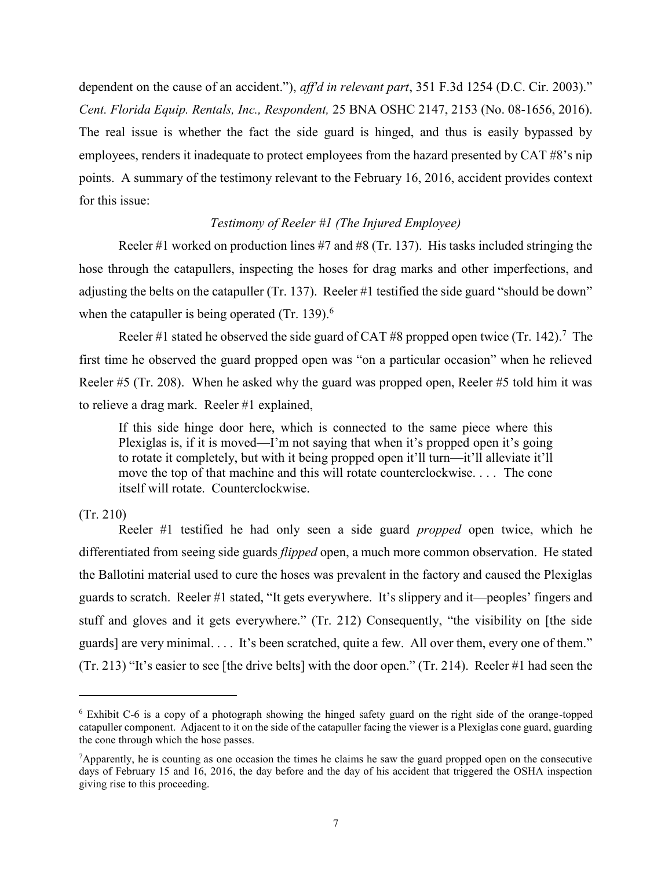dependent on the cause of an accident."), *aff'd in relevant part*, 351 F.3d 1254 (D.C. Cir. 2003)." *Cent. Florida Equip. Rentals, Inc., Respondent,* 25 BNA OSHC 2147, 2153 (No. 08-1656, 2016). The real issue is whether the fact the side guard is hinged, and thus is easily bypassed by employees, renders it inadequate to protect employees from the hazard presented by CAT #8's nip points. A summary of the testimony relevant to the February 16, 2016, accident provides context for this issue:

# *Testimony of Reeler #1 (The Injured Employee)*

Reeler #1 worked on production lines #7 and #8 (Tr. 137). His tasks included stringing the hose through the catapullers, inspecting the hoses for drag marks and other imperfections, and adjusting the belts on the catapuller (Tr. 137). Reeler #1 testified the side guard "should be down" when the catapuller is being operated  $(Tr. 139)$ .<sup>6</sup>

Reeler #1 stated he observed the side guard of CAT #8 propped open twice (Tr. 142).<sup>7</sup> The first time he observed the guard propped open was "on a particular occasion" when he relieved Reeler #5 (Tr. 208). When he asked why the guard was propped open, Reeler #5 told him it was to relieve a drag mark. Reeler #1 explained,

If this side hinge door here, which is connected to the same piece where this Plexiglas is, if it is moved—I'm not saying that when it's propped open it's going to rotate it completely, but with it being propped open it'll turn—it'll alleviate it'll move the top of that machine and this will rotate counterclockwise. . . . The cone itself will rotate. Counterclockwise.

#### (Tr. 210)

 $\overline{a}$ 

Reeler #1 testified he had only seen a side guard *propped* open twice, which he differentiated from seeing side guards *flipped* open, a much more common observation. He stated the Ballotini material used to cure the hoses was prevalent in the factory and caused the Plexiglas guards to scratch. Reeler #1 stated, "It gets everywhere. It's slippery and it—peoples' fingers and stuff and gloves and it gets everywhere." (Tr. 212) Consequently, "the visibility on [the side guards] are very minimal. . . . It's been scratched, quite a few. All over them, every one of them." (Tr. 213) "It's easier to see [the drive belts] with the door open." (Tr. 214). Reeler #1 had seen the

<sup>6</sup> Exhibit C-6 is a copy of a photograph showing the hinged safety guard on the right side of the orange-topped catapuller component. Adjacent to it on the side of the catapuller facing the viewer is a Plexiglas cone guard, guarding the cone through which the hose passes.

<sup>&</sup>lt;sup>7</sup>Apparently, he is counting as one occasion the times he claims he saw the guard propped open on the consecutive days of February 15 and 16, 2016, the day before and the day of his accident that triggered the OSHA inspection giving rise to this proceeding.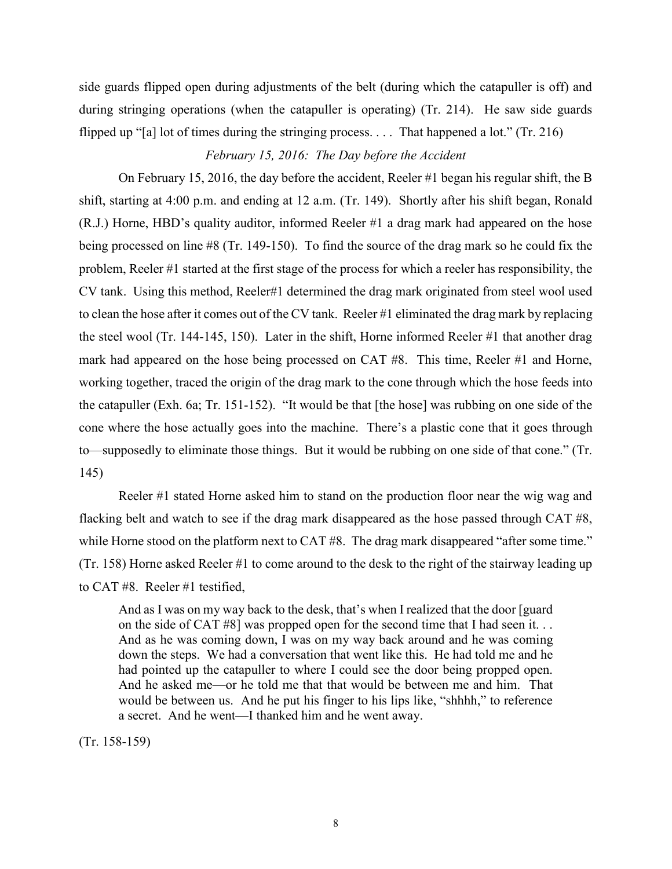side guards flipped open during adjustments of the belt (during which the catapuller is off) and during stringing operations (when the catapuller is operating) (Tr. 214). He saw side guards flipped up "[a] lot of times during the stringing process. . . . That happened a lot." (Tr. 216)

# *February 15, 2016: The Day before the Accident*

On February 15, 2016, the day before the accident, Reeler #1 began his regular shift, the B shift, starting at 4:00 p.m. and ending at 12 a.m. (Tr. 149). Shortly after his shift began, Ronald (R.J.) Horne, HBD's quality auditor, informed Reeler #1 a drag mark had appeared on the hose being processed on line #8 (Tr. 149-150). To find the source of the drag mark so he could fix the problem, Reeler #1 started at the first stage of the process for which a reeler has responsibility, the CV tank. Using this method, Reeler#1 determined the drag mark originated from steel wool used to clean the hose after it comes out of the CV tank. Reeler #1 eliminated the drag mark by replacing the steel wool (Tr. 144-145, 150). Later in the shift, Horne informed Reeler #1 that another drag mark had appeared on the hose being processed on CAT #8. This time, Reeler #1 and Horne, working together, traced the origin of the drag mark to the cone through which the hose feeds into the catapuller (Exh. 6a; Tr. 151-152). "It would be that [the hose] was rubbing on one side of the cone where the hose actually goes into the machine. There's a plastic cone that it goes through to—supposedly to eliminate those things. But it would be rubbing on one side of that cone." (Tr. 145)

Reeler #1 stated Horne asked him to stand on the production floor near the wig wag and flacking belt and watch to see if the drag mark disappeared as the hose passed through CAT #8, while Horne stood on the platform next to CAT #8. The drag mark disappeared "after some time." (Tr. 158) Horne asked Reeler #1 to come around to the desk to the right of the stairway leading up to CAT #8. Reeler #1 testified,

And as I was on my way back to the desk, that's when I realized that the door [guard on the side of CAT #8] was propped open for the second time that I had seen it. . . And as he was coming down, I was on my way back around and he was coming down the steps. We had a conversation that went like this. He had told me and he had pointed up the catapuller to where I could see the door being propped open. And he asked me—or he told me that that would be between me and him. That would be between us. And he put his finger to his lips like, "shhhh," to reference a secret. And he went—I thanked him and he went away.

(Tr. 158-159)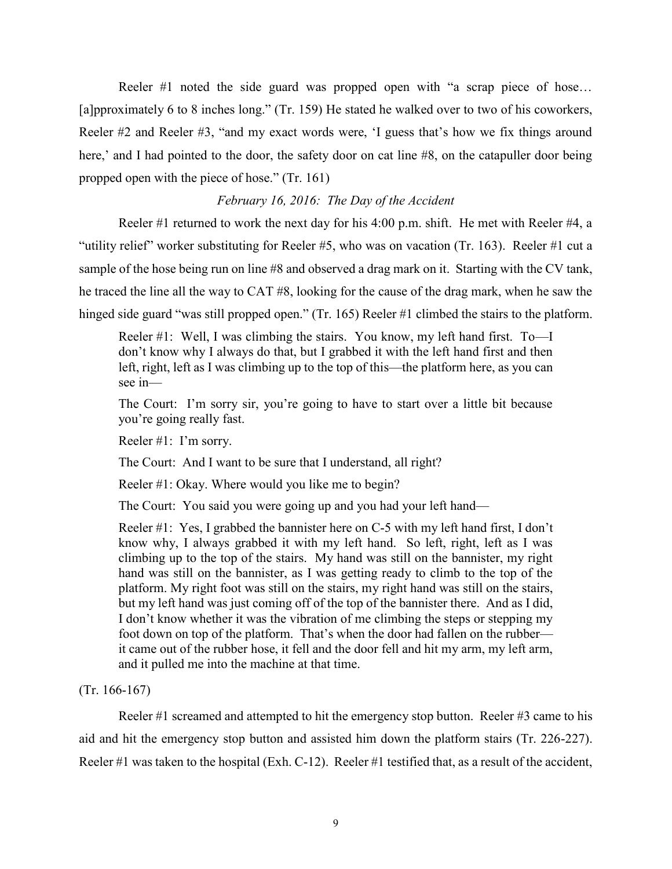Reeler #1 noted the side guard was propped open with "a scrap piece of hose… [a]pproximately 6 to 8 inches long." (Tr. 159) He stated he walked over to two of his coworkers, Reeler #2 and Reeler #3, "and my exact words were, 'I guess that's how we fix things around here,' and I had pointed to the door, the safety door on cat line #8, on the catapuller door being propped open with the piece of hose." (Tr. 161)

#### *February 16, 2016: The Day of the Accident*

Reeler #1 returned to work the next day for his 4:00 p.m. shift. He met with Reeler #4, a "utility relief" worker substituting for Reeler #5, who was on vacation (Tr. 163). Reeler #1 cut a sample of the hose being run on line #8 and observed a drag mark on it. Starting with the CV tank, he traced the line all the way to CAT #8, looking for the cause of the drag mark, when he saw the hinged side guard "was still propped open." (Tr. 165) Reeler #1 climbed the stairs to the platform.

Reeler #1: Well, I was climbing the stairs. You know, my left hand first. To—I don't know why I always do that, but I grabbed it with the left hand first and then left, right, left as I was climbing up to the top of this—the platform here, as you can see in—

The Court: I'm sorry sir, you're going to have to start over a little bit because you're going really fast.

Reeler #1: I'm sorry.

The Court: And I want to be sure that I understand, all right?

Reeler #1: Okay. Where would you like me to begin?

The Court: You said you were going up and you had your left hand—

Reeler #1: Yes, I grabbed the bannister here on C-5 with my left hand first, I don't know why, I always grabbed it with my left hand. So left, right, left as I was climbing up to the top of the stairs. My hand was still on the bannister, my right hand was still on the bannister, as I was getting ready to climb to the top of the platform. My right foot was still on the stairs, my right hand was still on the stairs, but my left hand was just coming off of the top of the bannister there. And as I did, I don't know whether it was the vibration of me climbing the steps or stepping my foot down on top of the platform. That's when the door had fallen on the rubber it came out of the rubber hose, it fell and the door fell and hit my arm, my left arm, and it pulled me into the machine at that time.

(Tr. 166-167)

Reeler #1 screamed and attempted to hit the emergency stop button. Reeler #3 came to his aid and hit the emergency stop button and assisted him down the platform stairs (Tr. 226-227). Reeler #1 was taken to the hospital (Exh. C-12). Reeler #1 testified that, as a result of the accident,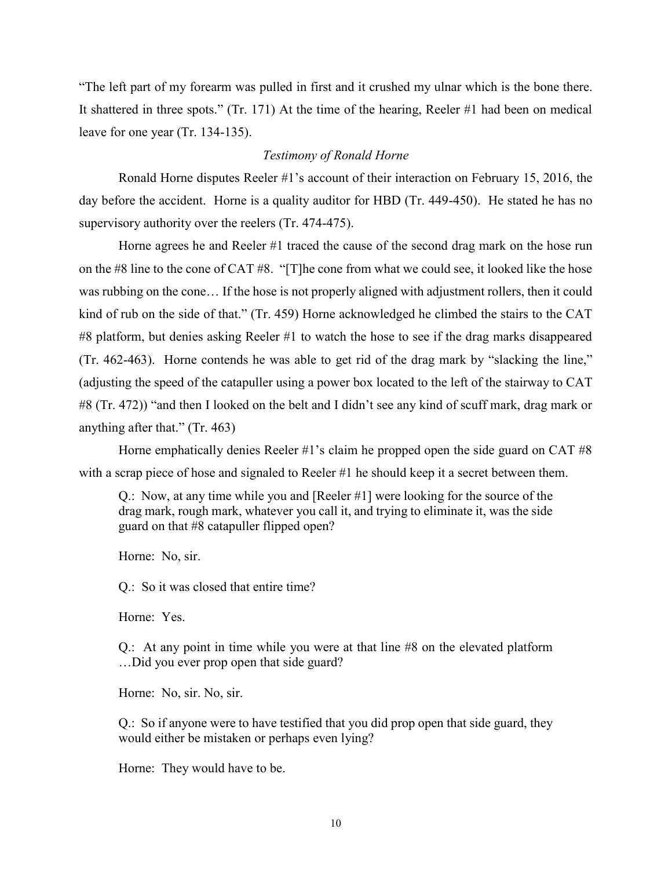"The left part of my forearm was pulled in first and it crushed my ulnar which is the bone there. It shattered in three spots." (Tr. 171) At the time of the hearing, Reeler #1 had been on medical leave for one year (Tr. 134-135).

#### *Testimony of Ronald Horne*

Ronald Horne disputes Reeler #1's account of their interaction on February 15, 2016, the day before the accident. Horne is a quality auditor for HBD (Tr. 449-450). He stated he has no supervisory authority over the reelers (Tr. 474-475).

Horne agrees he and Reeler #1 traced the cause of the second drag mark on the hose run on the #8 line to the cone of CAT #8. "[T]he cone from what we could see, it looked like the hose was rubbing on the cone… If the hose is not properly aligned with adjustment rollers, then it could kind of rub on the side of that." (Tr. 459) Horne acknowledged he climbed the stairs to the CAT #8 platform, but denies asking Reeler #1 to watch the hose to see if the drag marks disappeared (Tr. 462-463). Horne contends he was able to get rid of the drag mark by "slacking the line," (adjusting the speed of the catapuller using a power box located to the left of the stairway to CAT #8 (Tr. 472)) "and then I looked on the belt and I didn't see any kind of scuff mark, drag mark or anything after that." (Tr. 463)

Horne emphatically denies Reeler #1's claim he propped open the side guard on CAT #8 with a scrap piece of hose and signaled to Reeler #1 he should keep it a secret between them.

Q.: Now, at any time while you and [Reeler #1] were looking for the source of the drag mark, rough mark, whatever you call it, and trying to eliminate it, was the side guard on that #8 catapuller flipped open?

Horne: No, sir.

Q.: So it was closed that entire time?

Horne: Yes.

Q.: At any point in time while you were at that line #8 on the elevated platform …Did you ever prop open that side guard?

Horne: No, sir. No, sir.

Q.: So if anyone were to have testified that you did prop open that side guard, they would either be mistaken or perhaps even lying?

Horne: They would have to be.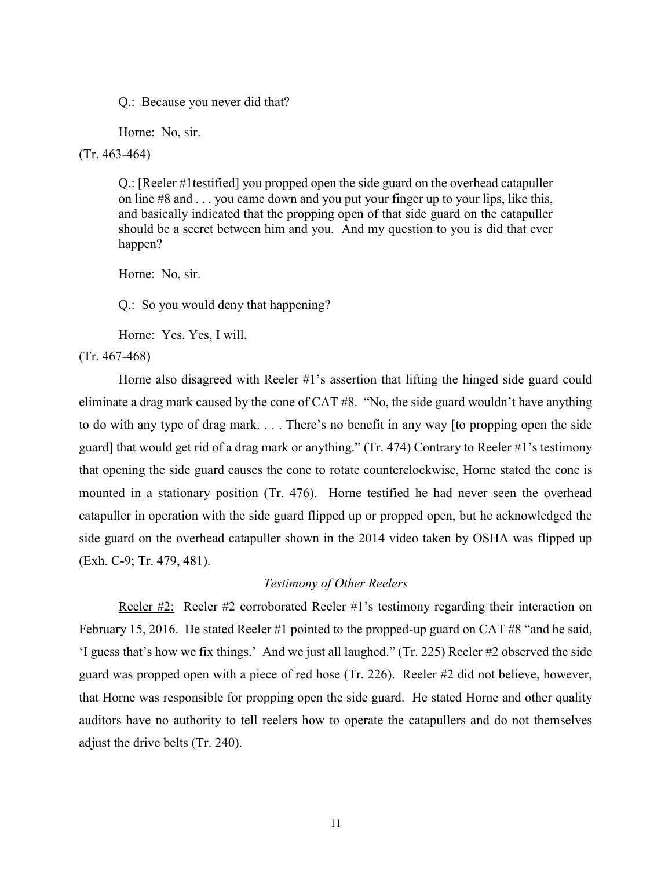Q.: Because you never did that?

Horne: No, sir.

(Tr. 463-464)

Q.: [Reeler #1testified] you propped open the side guard on the overhead catapuller on line #8 and . . . you came down and you put your finger up to your lips, like this, and basically indicated that the propping open of that side guard on the catapuller should be a secret between him and you. And my question to you is did that ever happen?

Horne: No, sir.

Q.: So you would deny that happening?

Horne: Yes. Yes, I will.

(Tr. 467-468)

Horne also disagreed with Reeler #1's assertion that lifting the hinged side guard could eliminate a drag mark caused by the cone of CAT #8. "No, the side guard wouldn't have anything to do with any type of drag mark. . . . There's no benefit in any way [to propping open the side guard] that would get rid of a drag mark or anything." (Tr. 474) Contrary to Reeler #1's testimony that opening the side guard causes the cone to rotate counterclockwise, Horne stated the cone is mounted in a stationary position (Tr. 476). Horne testified he had never seen the overhead catapuller in operation with the side guard flipped up or propped open, but he acknowledged the side guard on the overhead catapuller shown in the 2014 video taken by OSHA was flipped up (Exh. C-9; Tr. 479, 481).

#### *Testimony of Other Reelers*

Reeler #2:Reeler #2 corroborated Reeler #1's testimony regarding their interaction on February 15, 2016. He stated Reeler #1 pointed to the propped-up guard on CAT #8 "and he said, 'I guess that's how we fix things.' And we just all laughed." (Tr. 225) Reeler #2 observed the side guard was propped open with a piece of red hose (Tr. 226). Reeler #2 did not believe, however, that Horne was responsible for propping open the side guard. He stated Horne and other quality auditors have no authority to tell reelers how to operate the catapullers and do not themselves adjust the drive belts (Tr. 240).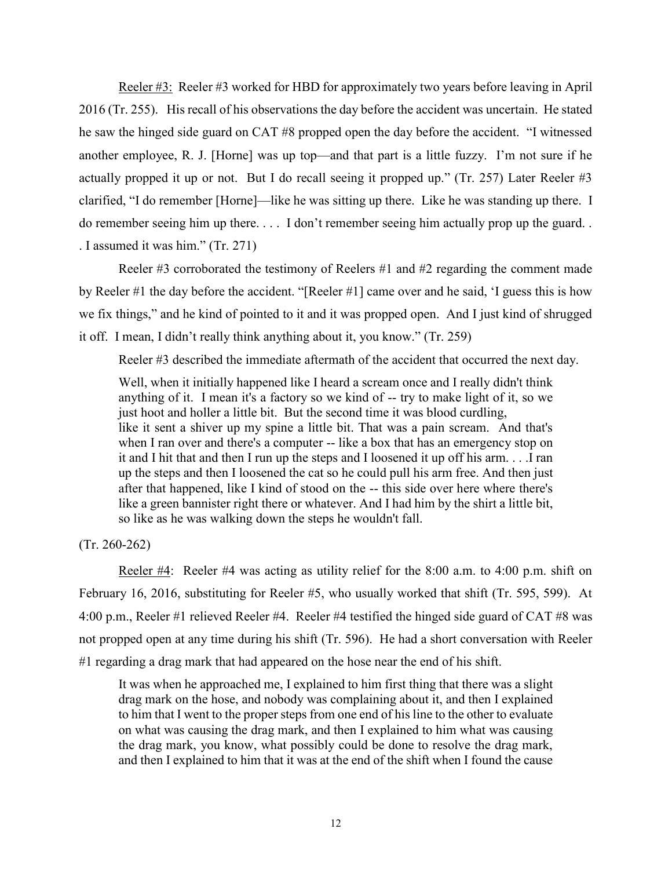Reeler #3:Reeler #3 worked for HBD for approximately two years before leaving in April 2016 (Tr. 255). His recall of his observations the day before the accident was uncertain. He stated he saw the hinged side guard on CAT #8 propped open the day before the accident. "I witnessed another employee, R. J. [Horne] was up top—and that part is a little fuzzy. I'm not sure if he actually propped it up or not. But I do recall seeing it propped up." (Tr. 257) Later Reeler #3 clarified, "I do remember [Horne]—like he was sitting up there. Like he was standing up there. I do remember seeing him up there. . . . I don't remember seeing him actually prop up the guard. . . I assumed it was him." (Tr. 271)

Reeler #3 corroborated the testimony of Reelers #1 and #2 regarding the comment made by Reeler #1 the day before the accident. "[Reeler #1] came over and he said, 'I guess this is how we fix things," and he kind of pointed to it and it was propped open. And I just kind of shrugged it off. I mean, I didn't really think anything about it, you know." (Tr. 259)

Reeler #3 described the immediate aftermath of the accident that occurred the next day.

Well, when it initially happened like I heard a scream once and I really didn't think anything of it. I mean it's a factory so we kind of -- try to make light of it, so we just hoot and holler a little bit. But the second time it was blood curdling, like it sent a shiver up my spine a little bit. That was a pain scream. And that's when I ran over and there's a computer -- like a box that has an emergency stop on it and I hit that and then I run up the steps and I loosened it up off his arm. . . .I ran up the steps and then I loosened the cat so he could pull his arm free. And then just after that happened, like I kind of stood on the -- this side over here where there's like a green bannister right there or whatever. And I had him by the shirt a little bit, so like as he was walking down the steps he wouldn't fall.

(Tr. 260-262)

Reeler #4: Reeler #4 was acting as utility relief for the 8:00 a.m. to 4:00 p.m. shift on February 16, 2016, substituting for Reeler #5, who usually worked that shift (Tr. 595, 599). At 4:00 p.m., Reeler #1 relieved Reeler #4. Reeler #4 testified the hinged side guard of CAT #8 was not propped open at any time during his shift (Tr. 596). He had a short conversation with Reeler #1 regarding a drag mark that had appeared on the hose near the end of his shift.

It was when he approached me, I explained to him first thing that there was a slight drag mark on the hose, and nobody was complaining about it, and then I explained to him that I went to the proper steps from one end of his line to the other to evaluate on what was causing the drag mark, and then I explained to him what was causing the drag mark, you know, what possibly could be done to resolve the drag mark, and then I explained to him that it was at the end of the shift when I found the cause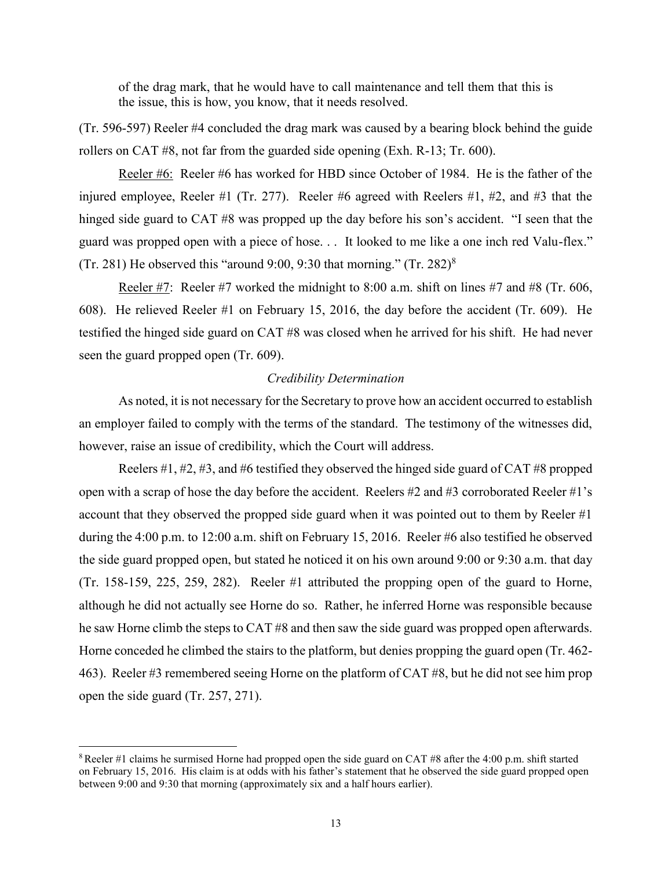of the drag mark, that he would have to call maintenance and tell them that this is the issue, this is how, you know, that it needs resolved.

(Tr. 596-597) Reeler #4 concluded the drag mark was caused by a bearing block behind the guide rollers on CAT #8, not far from the guarded side opening (Exh. R-13; Tr. 600).

Reeler #6: Reeler #6 has worked for HBD since October of 1984. He is the father of the injured employee, Reeler #1 (Tr. 277). Reeler #6 agreed with Reelers #1, #2, and #3 that the hinged side guard to CAT #8 was propped up the day before his son's accident. "I seen that the guard was propped open with a piece of hose. . . It looked to me like a one inch red Valu-flex." (Tr. 281) He observed this "around 9:00, 9:30 that morning." (Tr. 282) $^8$ 

Reeler #7: Reeler #7 worked the midnight to 8:00 a.m. shift on lines #7 and #8 (Tr. 606, 608). He relieved Reeler #1 on February 15, 2016, the day before the accident (Tr. 609). He testified the hinged side guard on CAT #8 was closed when he arrived for his shift. He had never seen the guard propped open (Tr. 609).

#### *Credibility Determination*

As noted, it is not necessary for the Secretary to prove how an accident occurred to establish an employer failed to comply with the terms of the standard. The testimony of the witnesses did, however, raise an issue of credibility, which the Court will address.

Reelers #1, #2, #3, and #6 testified they observed the hinged side guard of CAT #8 propped open with a scrap of hose the day before the accident. Reelers #2 and #3 corroborated Reeler #1's account that they observed the propped side guard when it was pointed out to them by Reeler #1 during the 4:00 p.m. to 12:00 a.m. shift on February 15, 2016. Reeler #6 also testified he observed the side guard propped open, but stated he noticed it on his own around 9:00 or 9:30 a.m. that day (Tr. 158-159, 225, 259, 282). Reeler #1 attributed the propping open of the guard to Horne, although he did not actually see Horne do so. Rather, he inferred Horne was responsible because he saw Horne climb the steps to CAT #8 and then saw the side guard was propped open afterwards. Horne conceded he climbed the stairs to the platform, but denies propping the guard open (Tr. 462- 463). Reeler #3 remembered seeing Horne on the platform of CAT #8, but he did not see him prop open the side guard (Tr. 257, 271).

<sup>8</sup> Reeler #1 claims he surmised Horne had propped open the side guard on CAT #8 after the 4:00 p.m. shift started on February 15, 2016. His claim is at odds with his father's statement that he observed the side guard propped open between 9:00 and 9:30 that morning (approximately six and a half hours earlier).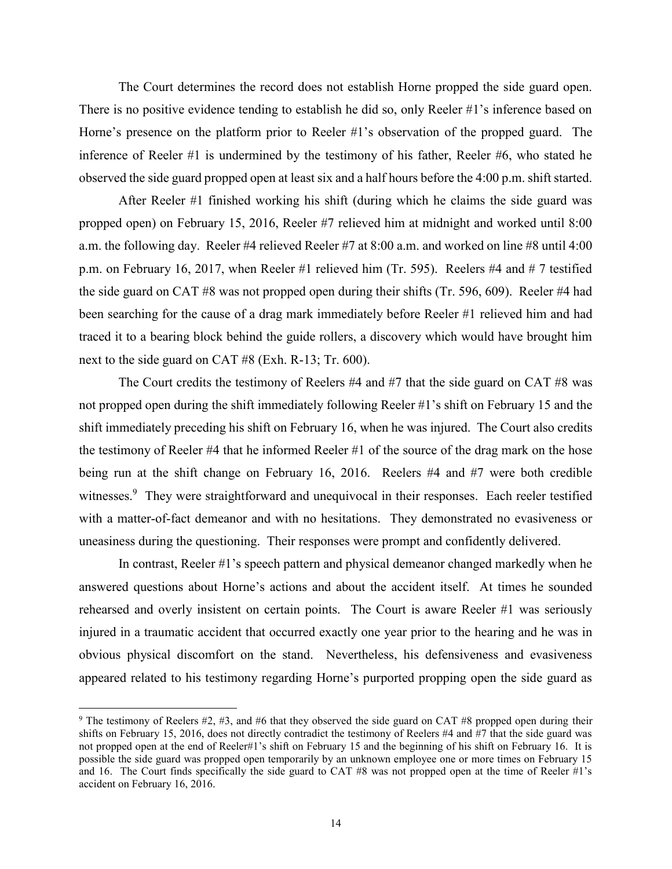The Court determines the record does not establish Horne propped the side guard open. There is no positive evidence tending to establish he did so, only Reeler #1's inference based on Horne's presence on the platform prior to Reeler #1's observation of the propped guard. The inference of Reeler #1 is undermined by the testimony of his father, Reeler #6, who stated he observed the side guard propped open at least six and a half hours before the 4:00 p.m. shift started.

After Reeler #1 finished working his shift (during which he claims the side guard was propped open) on February 15, 2016, Reeler #7 relieved him at midnight and worked until 8:00 a.m. the following day. Reeler #4 relieved Reeler #7 at 8:00 a.m. and worked on line #8 until 4:00 p.m. on February 16, 2017, when Reeler #1 relieved him (Tr. 595). Reelers #4 and # 7 testified the side guard on CAT #8 was not propped open during their shifts (Tr. 596, 609). Reeler #4 had been searching for the cause of a drag mark immediately before Reeler #1 relieved him and had traced it to a bearing block behind the guide rollers, a discovery which would have brought him next to the side guard on CAT #8 (Exh. R-13; Tr. 600).

The Court credits the testimony of Reelers #4 and #7 that the side guard on CAT #8 was not propped open during the shift immediately following Reeler #1's shift on February 15 and the shift immediately preceding his shift on February 16, when he was injured. The Court also credits the testimony of Reeler #4 that he informed Reeler #1 of the source of the drag mark on the hose being run at the shift change on February 16, 2016. Reelers #4 and #7 were both credible witnesses.<sup>9</sup> They were straightforward and unequivocal in their responses. Each reeler testified with a matter-of-fact demeanor and with no hesitations. They demonstrated no evasiveness or uneasiness during the questioning. Their responses were prompt and confidently delivered.

In contrast, Reeler #1's speech pattern and physical demeanor changed markedly when he answered questions about Horne's actions and about the accident itself. At times he sounded rehearsed and overly insistent on certain points. The Court is aware Reeler #1 was seriously injured in a traumatic accident that occurred exactly one year prior to the hearing and he was in obvious physical discomfort on the stand. Nevertheless, his defensiveness and evasiveness appeared related to his testimony regarding Horne's purported propping open the side guard as

<sup>&</sup>lt;sup>9</sup> The testimony of Reelers  $#2, #3,$  and  $#6$  that they observed the side guard on CAT  $#8$  propped open during their shifts on February 15, 2016, does not directly contradict the testimony of Reelers #4 and #7 that the side guard was not propped open at the end of Reeler#1's shift on February 15 and the beginning of his shift on February 16. It is possible the side guard was propped open temporarily by an unknown employee one or more times on February 15 and 16. The Court finds specifically the side guard to CAT #8 was not propped open at the time of Reeler #1's accident on February 16, 2016.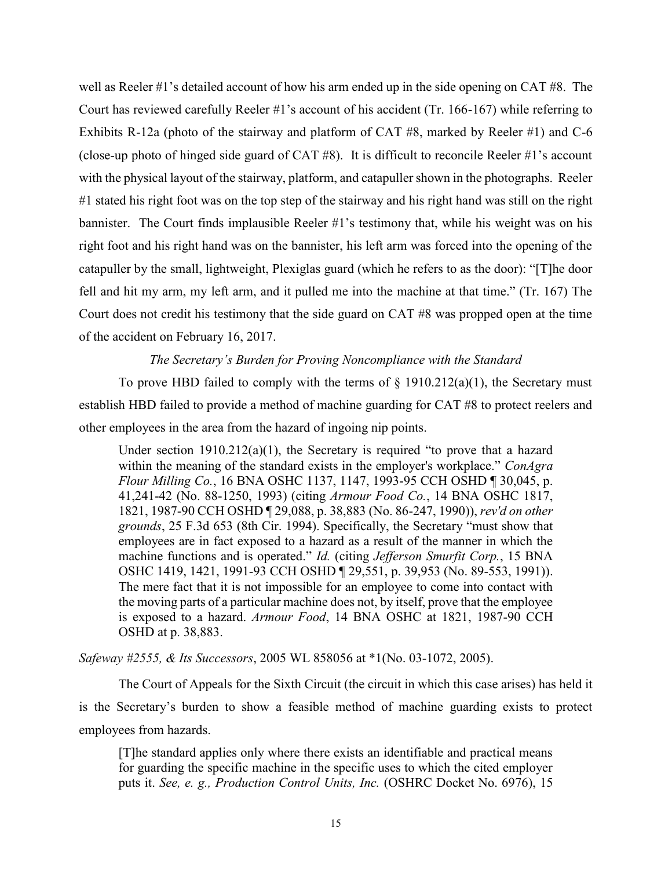well as Reeler #1's detailed account of how his arm ended up in the side opening on CAT #8. The Court has reviewed carefully Reeler #1's account of his accident (Tr. 166-167) while referring to Exhibits R-12a (photo of the stairway and platform of CAT #8, marked by Reeler #1) and C-6 (close-up photo of hinged side guard of CAT #8). It is difficult to reconcile Reeler #1's account with the physical layout of the stairway, platform, and catapuller shown in the photographs. Reeler #1 stated his right foot was on the top step of the stairway and his right hand was still on the right bannister. The Court finds implausible Reeler #1's testimony that, while his weight was on his right foot and his right hand was on the bannister, his left arm was forced into the opening of the catapuller by the small, lightweight, Plexiglas guard (which he refers to as the door): "[T]he door fell and hit my arm, my left arm, and it pulled me into the machine at that time." (Tr. 167) The Court does not credit his testimony that the side guard on CAT #8 was propped open at the time of the accident on February 16, 2017.

## *The Secretary's Burden for Proving Noncompliance with the Standard*

To prove HBD failed to comply with the terms of  $\S$  1910.212(a)(1), the Secretary must establish HBD failed to provide a method of machine guarding for CAT #8 to protect reelers and other employees in the area from the hazard of ingoing nip points.

Under section  $1910.212(a)(1)$ , the Secretary is required "to prove that a hazard" within the meaning of the standard exists in the employer's workplace." *ConAgra Flour Milling Co.*, 16 BNA OSHC 1137, 1147, 1993-95 CCH OSHD ¶ 30,045, p. 41,241-42 (No. 88-1250, 1993) (citing *Armour Food Co.*, 14 BNA OSHC 1817, 1821, 1987-90 CCH OSHD ¶ 29,088, p. 38,883 (No. 86-247, 1990)), *rev'd on other grounds*, 25 F.3d 653 (8th Cir. 1994). Specifically, the Secretary "must show that employees are in fact exposed to a hazard as a result of the manner in which the machine functions and is operated." *Id.* (citing *Jefferson Smurfit Corp.*, 15 BNA OSHC 1419, 1421, 1991-93 CCH OSHD ¶ 29,551, p. 39,953 (No. 89-553, 1991)). The mere fact that it is not impossible for an employee to come into contact with the moving parts of a particular machine does not, by itself, prove that the employee is exposed to a hazard. *Armour Food*, 14 BNA OSHC at 1821, 1987-90 CCH OSHD at p. 38,883.

*Safeway #2555, & Its Successors*, 2005 WL 858056 at \*1(No. 03-1072, 2005).

The Court of Appeals for the Sixth Circuit (the circuit in which this case arises) has held it is the Secretary's burden to show a feasible method of machine guarding exists to protect employees from hazards.

[T]he standard applies only where there exists an identifiable and practical means for guarding the specific machine in the specific uses to which the cited employer puts it. *See, e. g., Production Control Units, Inc.* (OSHRC Docket No. 6976), 15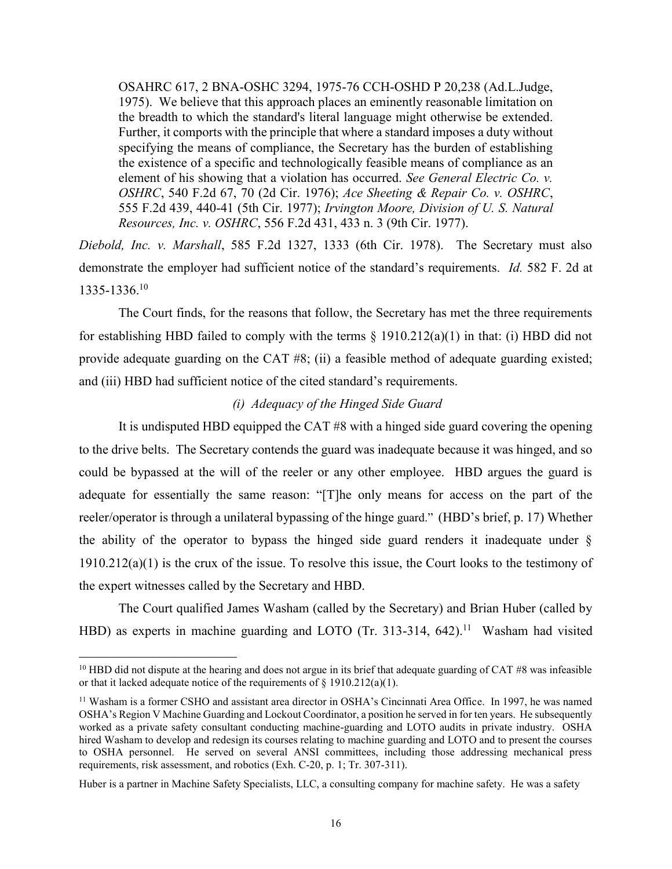OSAHRC 617, 2 BNA-OSHC 3294, 1975-76 CCH-OSHD P 20,238 (Ad.L.Judge, 1975). We believe that this approach places an eminently reasonable limitation on the breadth to which the standard's literal language might otherwise be extended. Further, it comports with the principle that where a standard imposes a duty without specifying the means of compliance, the Secretary has the burden of establishing the existence of a specific and technologically feasible means of compliance as an element of his showing that a violation has occurred. *See General Electric Co. v. OSHRC*, 540 F.2d 67, 70 (2d Cir. 1976); *Ace Sheeting & Repair Co. v. OSHRC*, 555 F.2d 439, 440-41 (5th Cir. 1977); *Irvington Moore, Division of U. S. Natural Resources, Inc. v. OSHRC*, 556 F.2d 431, 433 n. 3 (9th Cir. 1977).

*Diebold, Inc. v. Marshall*, 585 F.2d 1327, 1333 (6th Cir. 1978). The Secretary must also demonstrate the employer had sufficient notice of the standard's requirements. *Id.* 582 F. 2d at 1335-1336.<sup>10</sup>

The Court finds, for the reasons that follow, the Secretary has met the three requirements for establishing HBD failed to comply with the terms  $\S$  1910.212(a)(1) in that: (i) HBD did not provide adequate guarding on the CAT #8; (ii) a feasible method of adequate guarding existed; and (iii) HBD had sufficient notice of the cited standard's requirements.

# *(i) Adequacy of the Hinged Side Guard*

It is undisputed HBD equipped the CAT #8 with a hinged side guard covering the opening to the drive belts. The Secretary contends the guard was inadequate because it was hinged, and so could be bypassed at the will of the reeler or any other employee. HBD argues the guard is adequate for essentially the same reason: "[T]he only means for access on the part of the reeler/operator is through a unilateral bypassing of the hinge guard." (HBD's brief, p. 17) Whether the ability of the operator to bypass the hinged side guard renders it inadequate under § 1910.212(a)(1) is the crux of the issue. To resolve this issue, the Court looks to the testimony of the expert witnesses called by the Secretary and HBD.

The Court qualified James Washam (called by the Secretary) and Brian Huber (called by HBD) as experts in machine guarding and LOTO (Tr. 313-314, 642).<sup>11</sup> Washam had visited

<sup>&</sup>lt;sup>10</sup> HBD did not dispute at the hearing and does not argue in its brief that adequate guarding of CAT #8 was infeasible or that it lacked adequate notice of the requirements of § 1910.212(a)(1).

<sup>&</sup>lt;sup>11</sup> Washam is a former CSHO and assistant area director in OSHA's Cincinnati Area Office. In 1997, he was named OSHA's Region V Machine Guarding and Lockout Coordinator, a position he served in for ten years. He subsequently worked as a private safety consultant conducting machine-guarding and LOTO audits in private industry. OSHA hired Washam to develop and redesign its courses relating to machine guarding and LOTO and to present the courses to OSHA personnel. He served on several ANSI committees, including those addressing mechanical press requirements, risk assessment, and robotics (Exh. C-20, p. 1; Tr. 307-311).

Huber is a partner in Machine Safety Specialists, LLC, a consulting company for machine safety. He was a safety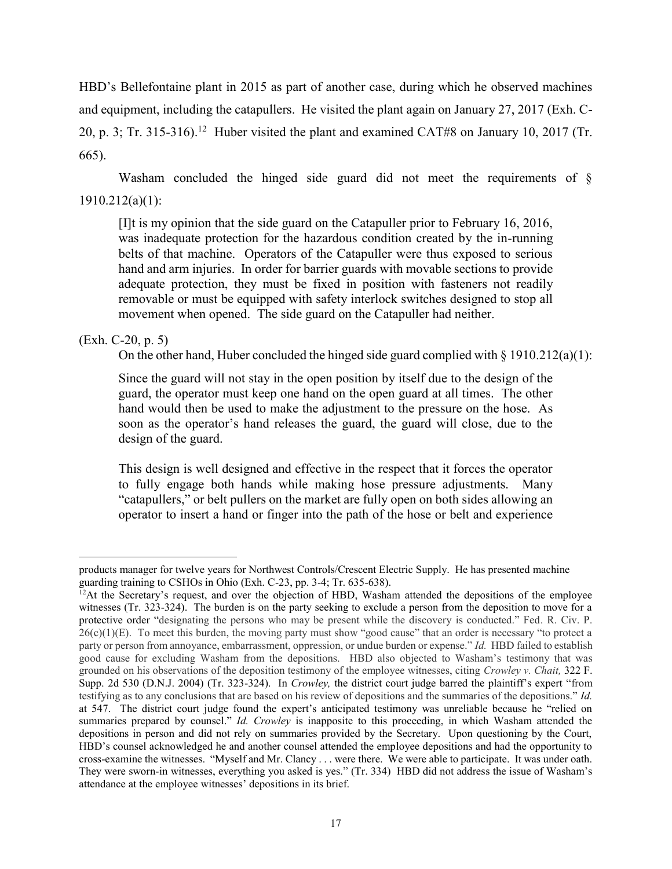HBD's Bellefontaine plant in 2015 as part of another case, during which he observed machines and equipment, including the catapullers. He visited the plant again on January 27, 2017 (Exh. C-20, p. 3; Tr. 315-316).<sup>12</sup> Huber visited the plant and examined CAT#8 on January 10, 2017 (Tr. 665).

Washam concluded the hinged side guard did not meet the requirements of § 1910.212(a)(1):

[I]t is my opinion that the side guard on the Catapuller prior to February 16, 2016, was inadequate protection for the hazardous condition created by the in-running belts of that machine. Operators of the Catapuller were thus exposed to serious hand and arm injuries. In order for barrier guards with movable sections to provide adequate protection, they must be fixed in position with fasteners not readily removable or must be equipped with safety interlock switches designed to stop all movement when opened. The side guard on the Catapuller had neither.

# (Exh. C-20, p. 5)

 $\overline{a}$ 

On the other hand, Huber concluded the hinged side guard complied with  $\S 1910.212(a)(1)$ :

Since the guard will not stay in the open position by itself due to the design of the guard, the operator must keep one hand on the open guard at all times. The other hand would then be used to make the adjustment to the pressure on the hose. As soon as the operator's hand releases the guard, the guard will close, due to the design of the guard.

This design is well designed and effective in the respect that it forces the operator to fully engage both hands while making hose pressure adjustments. Many "catapullers," or belt pullers on the market are fully open on both sides allowing an operator to insert a hand or finger into the path of the hose or belt and experience

products manager for twelve years for Northwest Controls/Crescent Electric Supply. He has presented machine guarding training to CSHOs in Ohio (Exh. C-23, pp. 3-4; Tr. 635-638).

 $12$ At the Secretary's request, and over the objection of HBD, Washam attended the depositions of the employee witnesses (Tr. 323-324). The burden is on the party seeking to exclude a person from the deposition to move for a protective order "designating the persons who may be present while the discovery is conducted." Fed. R. Civ. P.  $26(c)(1)(E)$ . To meet this burden, the moving party must show "good cause" that an order is necessary "to protect a party or person from annoyance, embarrassment, oppression, or undue burden or expense." *Id.* HBD failed to establish good cause for excluding Washam from the depositions. HBD also objected to Washam's testimony that was grounded on his observations of the deposition testimony of the employee witnesses, citing *Crowley v. Chait,* 322 F. Supp. 2d 530 (D.N.J. 2004) (Tr. 323-324). In *Crowley,* the district court judge barred the plaintiff's expert "from testifying as to any conclusions that are based on his review of depositions and the summaries of the depositions." *Id.*  at 547. The district court judge found the expert's anticipated testimony was unreliable because he "relied on summaries prepared by counsel." *Id. Crowley* is inapposite to this proceeding, in which Washam attended the depositions in person and did not rely on summaries provided by the Secretary. Upon questioning by the Court, HBD's counsel acknowledged he and another counsel attended the employee depositions and had the opportunity to cross-examine the witnesses. "Myself and Mr. Clancy . . . were there. We were able to participate. It was under oath. They were sworn-in witnesses, everything you asked is yes." (Tr. 334) HBD did not address the issue of Washam's attendance at the employee witnesses' depositions in its brief.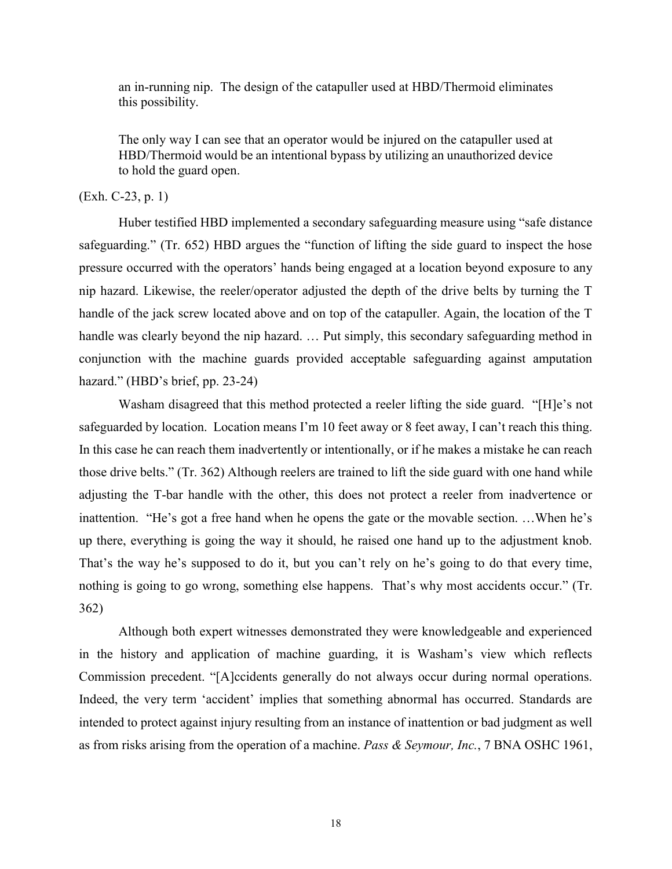an in-running nip. The design of the catapuller used at HBD/Thermoid eliminates this possibility.

The only way I can see that an operator would be injured on the catapuller used at HBD/Thermoid would be an intentional bypass by utilizing an unauthorized device to hold the guard open.

## (Exh. C-23, p. 1)

Huber testified HBD implemented a secondary safeguarding measure using "safe distance safeguarding." (Tr. 652) HBD argues the "function of lifting the side guard to inspect the hose pressure occurred with the operators' hands being engaged at a location beyond exposure to any nip hazard. Likewise, the reeler/operator adjusted the depth of the drive belts by turning the T handle of the jack screw located above and on top of the catapuller. Again, the location of the T handle was clearly beyond the nip hazard. … Put simply, this secondary safeguarding method in conjunction with the machine guards provided acceptable safeguarding against amputation hazard." (HBD's brief, pp. 23-24)

Washam disagreed that this method protected a reeler lifting the side guard. "[H]e's not safeguarded by location. Location means I'm 10 feet away or 8 feet away, I can't reach this thing. In this case he can reach them inadvertently or intentionally, or if he makes a mistake he can reach those drive belts." (Tr. 362) Although reelers are trained to lift the side guard with one hand while adjusting the T-bar handle with the other, this does not protect a reeler from inadvertence or inattention. "He's got a free hand when he opens the gate or the movable section. …When he's up there, everything is going the way it should, he raised one hand up to the adjustment knob. That's the way he's supposed to do it, but you can't rely on he's going to do that every time, nothing is going to go wrong, something else happens. That's why most accidents occur." (Tr. 362)

Although both expert witnesses demonstrated they were knowledgeable and experienced in the history and application of machine guarding, it is Washam's view which reflects Commission precedent. "[A]ccidents generally do not always occur during normal operations. Indeed, the very term 'accident' implies that something abnormal has occurred. Standards are intended to protect against injury resulting from an instance of inattention or bad judgment as well as from risks arising from the operation of a machine. *Pass & Seymour, Inc.*, 7 BNA OSHC 1961,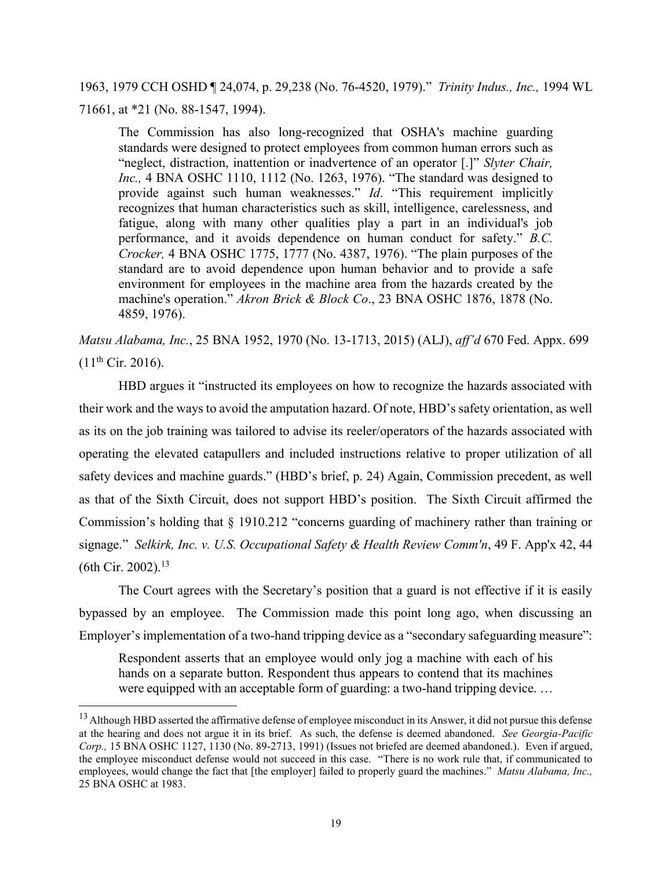# 1963, 1979 CCH OSHD ¶ 24,074, p. 29,238 (No. 76-4520, 1979)." *Trinity Indus., Inc.,* 1994 WL 71661, at \*21 (No. 88-1547, 1994).

The Commission has also long-recognized that OSHA's machine guarding standards were designed to protect employees from common human errors such as "neglect, distraction, inattention or inadvertence of an operator [.]" *Slyter Chair, Inc.,* 4 BNA OSHC 1110, 1112 (No. 1263, 1976). "The standard was designed to provide against such human weaknesses." *Id*. "This requirement implicitly recognizes that human characteristics such as skill, intelligence, carelessness, and fatigue, along with many other qualities play a part in an individual's job performance, and it avoids dependence on human conduct for safety." *B.C. Crocker,* 4 BNA OSHC 1775, 1777 (No. 4387, 1976). "The plain purposes of the standard are to avoid dependence upon human behavior and to provide a safe environment for employees in the machine area from the hazards created by the machine's operation." *Akron Brick & Block Co*., 23 BNA OSHC 1876, 1878 (No. 4859, 1976).

*Matsu Alabama, Inc.*, 25 BNA 1952, 1970 (No. 13-1713, 2015) (ALJ), *aff'd* 670 Fed. Appx. 699  $(11^{th}$  Cir. 2016).

HBD argues it "instructed its employees on how to recognize the hazards associated with their work and the ways to avoid the amputation hazard. Of note, HBD's safety orientation, as well as its on the job training was tailored to advise its reeler/operators of the hazards associated with operating the elevated catapullers and included instructions relative to proper utilization of all safety devices and machine guards." (HBD's brief, p. 24) Again, Commission precedent, as well as that of the Sixth Circuit, does not support HBD's position. The Sixth Circuit affirmed the Commission's holding that § 1910.212 "concerns guarding of machinery rather than training or signage." *Selkirk, Inc. v. U.S. Occupational Safety & Health Review Comm'n*, 49 F. App'x 42, 44 (6th Cir. 2002).<sup>13</sup>

The Court agrees with the Secretary's position that a guard is not effective if it is easily bypassed by an employee. The Commission made this point long ago, when discussing an Employer's implementation of a two-hand tripping device as a "secondary safeguarding measure":

Respondent asserts that an employee would only jog a machine with each of his hands on a separate button. Respondent thus appears to contend that its machines were equipped with an acceptable form of guarding: a two-hand tripping device. …

<sup>&</sup>lt;sup>13</sup> Although HBD asserted the affirmative defense of employee misconduct in its Answer, it did not pursue this defense at the hearing and does not argue it in its brief. As such, the defense is deemed abandoned. *See Georgia-Pacific Corp.,* 15 BNA OSHC 1127, 1130 (No. 89-2713, 1991) (Issues not briefed are deemed abandoned.). Even if argued, the employee misconduct defense would not succeed in this case. "There is no work rule that, if communicated to employees, would change the fact that [the employer] failed to properly guard the machines." *Matsu Alabama, Inc.,* 25 BNA OSHC at 1983.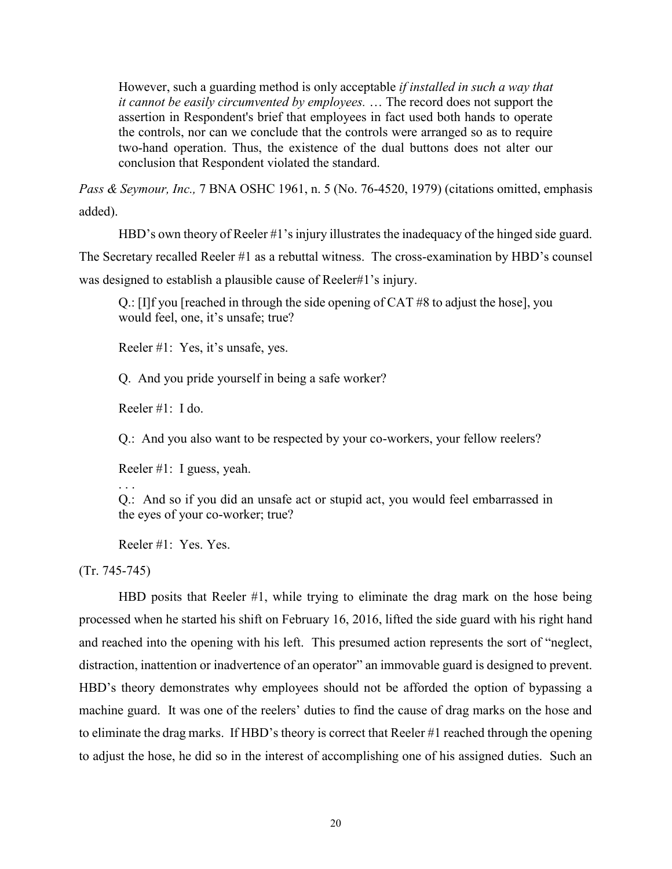However, such a guarding method is only acceptable *if installed in such a way that it cannot be easily circumvented by employees.* … The record does not support the assertion in Respondent's brief that employees in fact used both hands to operate the controls, nor can we conclude that the controls were arranged so as to require two-hand operation. Thus, the existence of the dual buttons does not alter our conclusion that Respondent violated the standard.

*Pass & Seymour, Inc.,* 7 BNA OSHC 1961, n. 5 (No. 76-4520, 1979) (citations omitted, emphasis added).

HBD's own theory of Reeler #1's injury illustrates the inadequacy of the hinged side guard.

The Secretary recalled Reeler #1 as a rebuttal witness. The cross-examination by HBD's counsel

was designed to establish a plausible cause of Reeler#1's injury.

Q.: [I]f you [reached in through the side opening of CAT #8 to adjust the hose], you would feel, one, it's unsafe; true?

Reeler #1: Yes, it's unsafe, yes.

Q. And you pride yourself in being a safe worker?

Reeler #1: I do.

Q.: And you also want to be respected by your co-workers, your fellow reelers?

Reeler #1: I guess, yeah.

. . . Q.: And so if you did an unsafe act or stupid act, you would feel embarrassed in the eyes of your co-worker; true?

Reeler #1: Yes. Yes.

(Tr. 745-745)

HBD posits that Reeler #1, while trying to eliminate the drag mark on the hose being processed when he started his shift on February 16, 2016, lifted the side guard with his right hand and reached into the opening with his left. This presumed action represents the sort of "neglect, distraction, inattention or inadvertence of an operator" an immovable guard is designed to prevent. HBD's theory demonstrates why employees should not be afforded the option of bypassing a machine guard. It was one of the reelers' duties to find the cause of drag marks on the hose and to eliminate the drag marks. If HBD's theory is correct that Reeler #1 reached through the opening to adjust the hose, he did so in the interest of accomplishing one of his assigned duties. Such an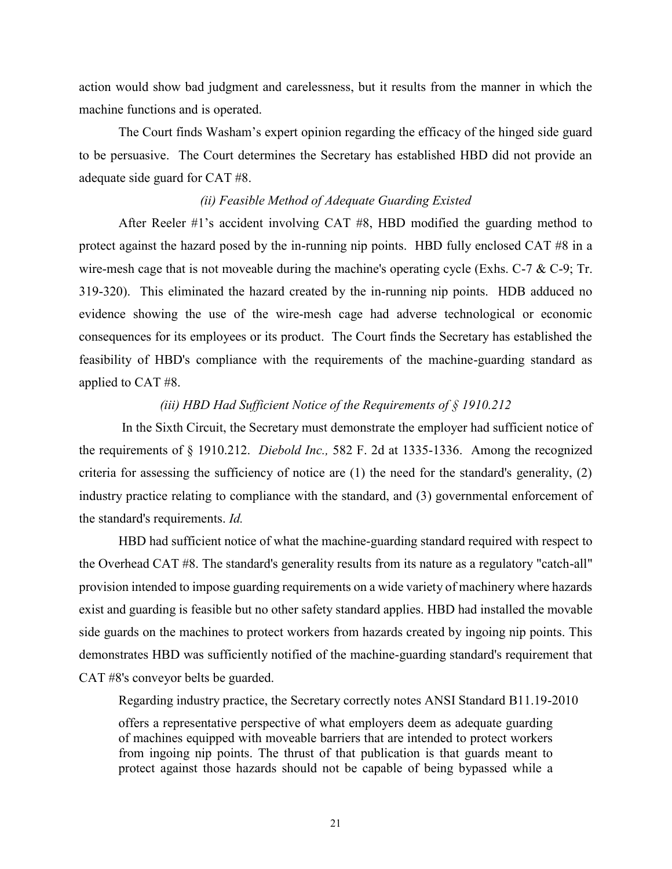action would show bad judgment and carelessness, but it results from the manner in which the machine functions and is operated.

The Court finds Washam's expert opinion regarding the efficacy of the hinged side guard to be persuasive. The Court determines the Secretary has established HBD did not provide an adequate side guard for CAT #8.

## *(ii) Feasible Method of Adequate Guarding Existed*

After Reeler #1's accident involving CAT #8, HBD modified the guarding method to protect against the hazard posed by the in-running nip points. HBD fully enclosed CAT #8 in a wire-mesh cage that is not moveable during the machine's operating cycle (Exhs. C-7  $\&$  C-9; Tr. 319-320). This eliminated the hazard created by the in-running nip points. HDB adduced no evidence showing the use of the wire-mesh cage had adverse technological or economic consequences for its employees or its product. The Court finds the Secretary has established the feasibility of HBD's compliance with the requirements of the machine-guarding standard as applied to CAT #8.

# *(iii) HBD Had Sufficient Notice of the Requirements of § 1910.212*

In the Sixth Circuit, the Secretary must demonstrate the employer had sufficient notice of the requirements of § 1910.212. *Diebold Inc.,* 582 F. 2d at 1335-1336. Among the recognized criteria for assessing the sufficiency of notice are (1) the need for the standard's generality, (2) industry practice relating to compliance with the standard, and (3) governmental enforcement of the standard's requirements. *Id.*

HBD had sufficient notice of what the machine-guarding standard required with respect to the Overhead CAT #8. The standard's generality results from its nature as a regulatory "catch-all" provision intended to impose guarding requirements on a wide variety of machinery where hazards exist and guarding is feasible but no other safety standard applies. HBD had installed the movable side guards on the machines to protect workers from hazards created by ingoing nip points. This demonstrates HBD was sufficiently notified of the machine-guarding standard's requirement that CAT #8's conveyor belts be guarded.

Regarding industry practice, the Secretary correctly notes ANSI Standard B11.19-2010

offers a representative perspective of what employers deem as adequate guarding of machines equipped with moveable barriers that are intended to protect workers from ingoing nip points. The thrust of that publication is that guards meant to protect against those hazards should not be capable of being bypassed while a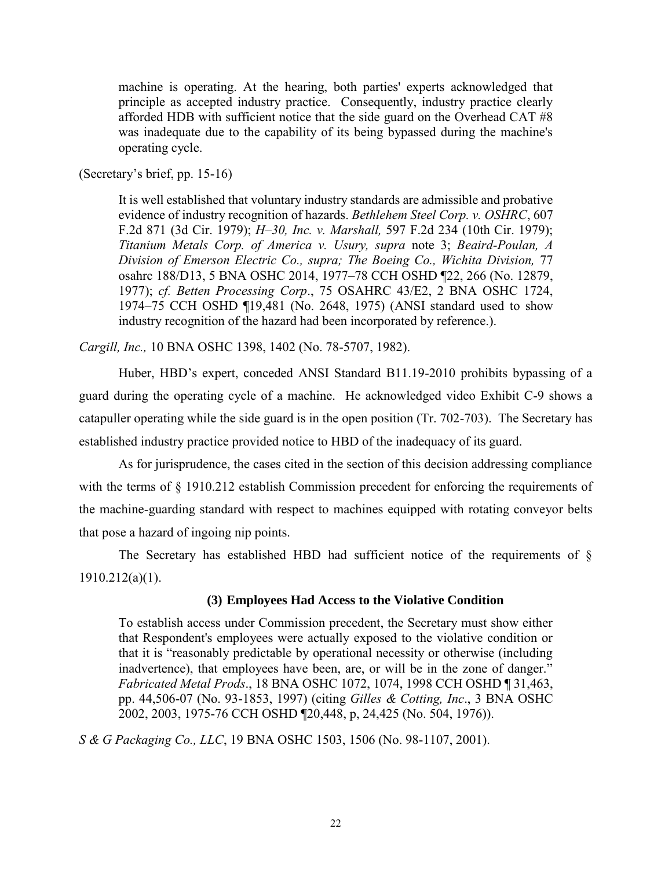machine is operating. At the hearing, both parties' experts acknowledged that principle as accepted industry practice. Consequently, industry practice clearly afforded HDB with sufficient notice that the side guard on the Overhead CAT #8 was inadequate due to the capability of its being bypassed during the machine's operating cycle.

(Secretary's brief, pp. 15-16)

It is well established that voluntary industry standards are admissible and probative evidence of industry recognition of hazards. *Bethlehem Steel Corp. v. OSHRC*, 607 F.2d 871 (3d Cir. 1979); *H–30, Inc. v. Marshall,* 597 F.2d 234 (10th Cir. 1979); *Titanium Metals Corp. of America v. Usury, supra* note 3; *Beaird-Poulan, A Division of Emerson Electric Co., supra; The Boeing Co., Wichita Division,* 77 osahrc 188/D13, 5 BNA OSHC 2014, 1977–78 CCH OSHD ¶22, 266 (No. 12879, 1977); *cf. Betten Processing Corp*., 75 OSAHRC 43/E2, 2 BNA OSHC 1724, 1974–75 CCH OSHD ¶19,481 (No. 2648, 1975) (ANSI standard used to show industry recognition of the hazard had been incorporated by reference.).

*Cargill, Inc.,* 10 BNA OSHC 1398, 1402 (No. 78-5707, 1982).

Huber, HBD's expert, conceded ANSI Standard B11.19-2010 prohibits bypassing of a guard during the operating cycle of a machine. He acknowledged video Exhibit C-9 shows a catapuller operating while the side guard is in the open position (Tr. 702-703). The Secretary has established industry practice provided notice to HBD of the inadequacy of its guard.

As for jurisprudence, the cases cited in the section of this decision addressing compliance with the terms of § 1910.212 establish Commission precedent for enforcing the requirements of the machine-guarding standard with respect to machines equipped with rotating conveyor belts that pose a hazard of ingoing nip points.

The Secretary has established HBD had sufficient notice of the requirements of  $\S$ 1910.212(a)(1).

# **(3) Employees Had Access to the Violative Condition**

To establish access under Commission precedent, the Secretary must show either that Respondent's employees were actually exposed to the violative condition or that it is "reasonably predictable by operational necessity or otherwise (including inadvertence), that employees have been, are, or will be in the zone of danger." *Fabricated Metal Prods*., 18 BNA OSHC 1072, 1074, 1998 CCH OSHD ¶ 31,463, pp. 44,506-07 (No. 93-1853, 1997) (citing *Gilles & Cotting, Inc*., 3 BNA OSHC 2002, 2003, 1975-76 CCH OSHD ¶20,448, p, 24,425 (No. 504, 1976)).

*S & G Packaging Co., LLC*, 19 BNA OSHC 1503, 1506 (No. 98-1107, 2001).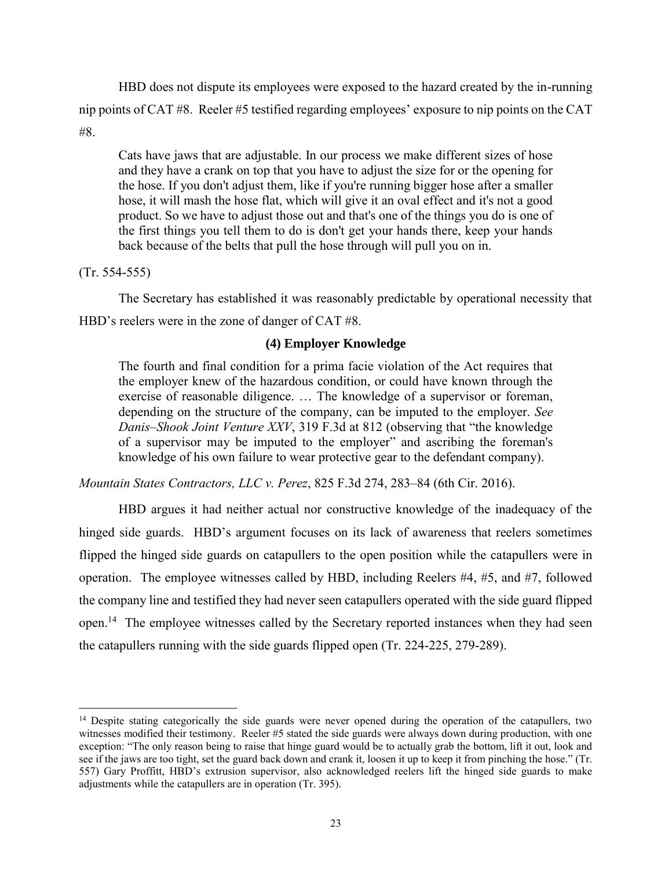HBD does not dispute its employees were exposed to the hazard created by the in-running nip points of CAT #8. Reeler #5 testified regarding employees' exposure to nip points on the CAT #8.

Cats have jaws that are adjustable. In our process we make different sizes of hose and they have a crank on top that you have to adjust the size for or the opening for the hose. If you don't adjust them, like if you're running bigger hose after a smaller hose, it will mash the hose flat, which will give it an oval effect and it's not a good product. So we have to adjust those out and that's one of the things you do is one of the first things you tell them to do is don't get your hands there, keep your hands back because of the belts that pull the hose through will pull you on in.

(Tr. 554-555)

 $\overline{a}$ 

The Secretary has established it was reasonably predictable by operational necessity that HBD's reelers were in the zone of danger of CAT #8.

# **(4) Employer Knowledge**

The fourth and final condition for a prima facie violation of the Act requires that the employer knew of the hazardous condition, or could have known through the exercise of reasonable diligence. … The knowledge of a supervisor or foreman, depending on the structure of the company, can be imputed to the employer. *See Danis–Shook Joint Venture XXV*, 319 F.3d at 812 (observing that "the knowledge of a supervisor may be imputed to the employer" and ascribing the foreman's knowledge of his own failure to wear protective gear to the defendant company).

*Mountain States Contractors, LLC v. Perez*, 825 F.3d 274, 283–84 (6th Cir. 2016).

HBD argues it had neither actual nor constructive knowledge of the inadequacy of the hinged side guards. HBD's argument focuses on its lack of awareness that reelers sometimes flipped the hinged side guards on catapullers to the open position while the catapullers were in operation. The employee witnesses called by HBD, including Reelers #4, #5, and #7, followed the company line and testified they had never seen catapullers operated with the side guard flipped open.<sup>14</sup> The employee witnesses called by the Secretary reported instances when they had seen the catapullers running with the side guards flipped open (Tr. 224-225, 279-289).

<sup>&</sup>lt;sup>14</sup> Despite stating categorically the side guards were never opened during the operation of the catapullers, two witnesses modified their testimony. Reeler #5 stated the side guards were always down during production, with one exception: "The only reason being to raise that hinge guard would be to actually grab the bottom, lift it out, look and see if the jaws are too tight, set the guard back down and crank it, loosen it up to keep it from pinching the hose." (Tr. 557) Gary Proffitt, HBD's extrusion supervisor, also acknowledged reelers lift the hinged side guards to make adjustments while the catapullers are in operation (Tr. 395).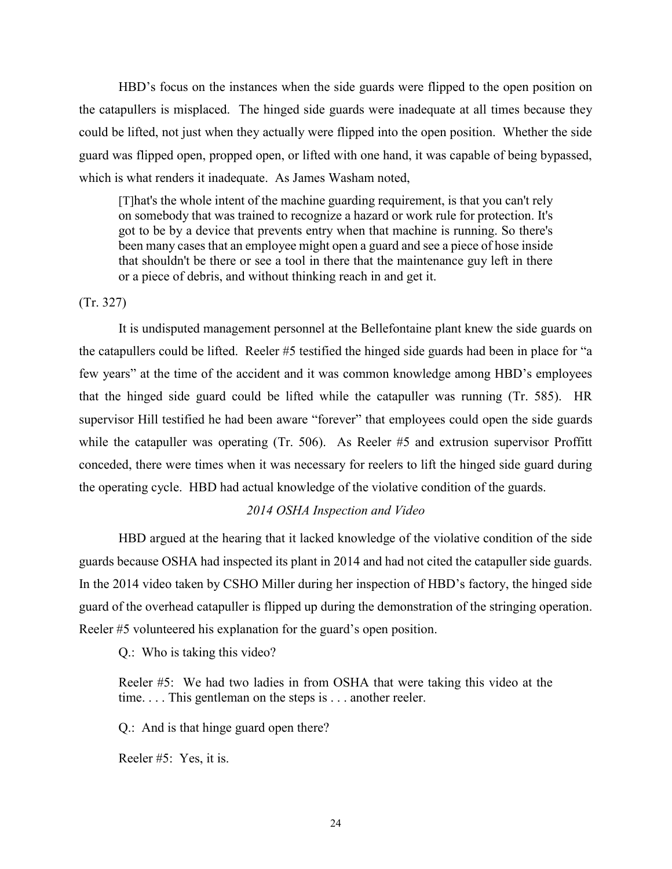HBD's focus on the instances when the side guards were flipped to the open position on the catapullers is misplaced. The hinged side guards were inadequate at all times because they could be lifted, not just when they actually were flipped into the open position. Whether the side guard was flipped open, propped open, or lifted with one hand, it was capable of being bypassed, which is what renders it inadequate. As James Washam noted,

[T]hat's the whole intent of the machine guarding requirement, is that you can't rely on somebody that was trained to recognize a hazard or work rule for protection. It's got to be by a device that prevents entry when that machine is running. So there's been many cases that an employee might open a guard and see a piece of hose inside that shouldn't be there or see a tool in there that the maintenance guy left in there or a piece of debris, and without thinking reach in and get it.

#### (Tr. 327)

It is undisputed management personnel at the Bellefontaine plant knew the side guards on the catapullers could be lifted. Reeler #5 testified the hinged side guards had been in place for "a few years" at the time of the accident and it was common knowledge among HBD's employees that the hinged side guard could be lifted while the catapuller was running (Tr. 585). HR supervisor Hill testified he had been aware "forever" that employees could open the side guards while the catapuller was operating (Tr. 506). As Reeler #5 and extrusion supervisor Proffitt conceded, there were times when it was necessary for reelers to lift the hinged side guard during the operating cycle. HBD had actual knowledge of the violative condition of the guards.

## *2014 OSHA Inspection and Video*

HBD argued at the hearing that it lacked knowledge of the violative condition of the side guards because OSHA had inspected its plant in 2014 and had not cited the catapuller side guards. In the 2014 video taken by CSHO Miller during her inspection of HBD's factory, the hinged side guard of the overhead catapuller is flipped up during the demonstration of the stringing operation. Reeler #5 volunteered his explanation for the guard's open position.

Q.: Who is taking this video?

Reeler #5: We had two ladies in from OSHA that were taking this video at the time. . . . This gentleman on the steps is . . . another reeler.

Q.: And is that hinge guard open there?

Reeler #5: Yes, it is.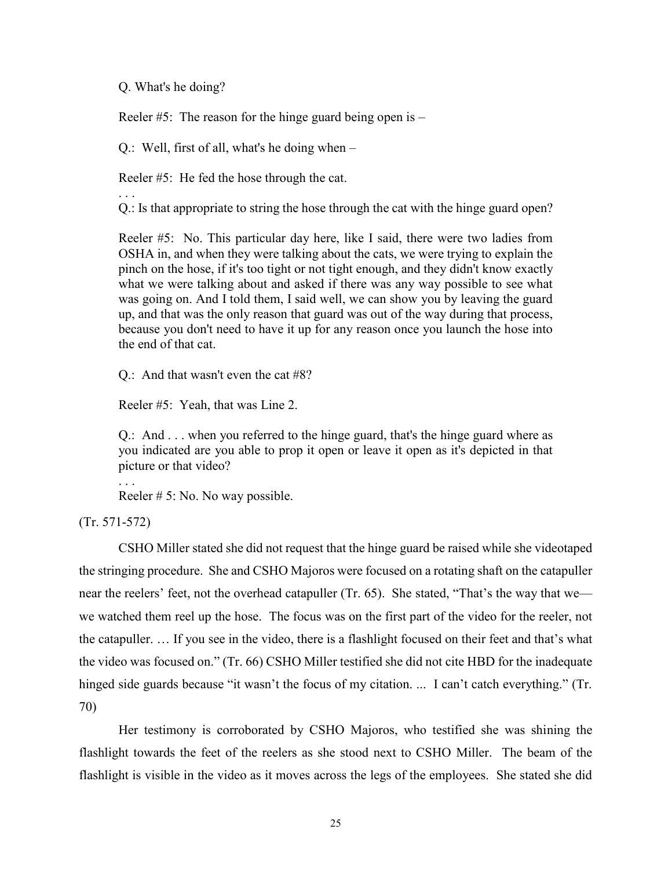#### Q. What's he doing?

Reeler  $#5$ : The reason for the hinge guard being open is  $-$ 

Q.: Well, first of all, what's he doing when –

Reeler #5: He fed the hose through the cat.

. . . Q.: Is that appropriate to string the hose through the cat with the hinge guard open?

Reeler #5: No. This particular day here, like I said, there were two ladies from OSHA in, and when they were talking about the cats, we were trying to explain the pinch on the hose, if it's too tight or not tight enough, and they didn't know exactly what we were talking about and asked if there was any way possible to see what was going on. And I told them, I said well, we can show you by leaving the guard up, and that was the only reason that guard was out of the way during that process, because you don't need to have it up for any reason once you launch the hose into the end of that cat.

Q.: And that wasn't even the cat #8?

Reeler #5: Yeah, that was Line 2.

Q.: And . . . when you referred to the hinge guard, that's the hinge guard where as you indicated are you able to prop it open or leave it open as it's depicted in that picture or that video?

. . .

Reeler # 5: No. No way possible.

(Tr. 571-572)

CSHO Miller stated she did not request that the hinge guard be raised while she videotaped the stringing procedure. She and CSHO Majoros were focused on a rotating shaft on the catapuller near the reelers' feet, not the overhead catapuller (Tr. 65). She stated, "That's the way that we we watched them reel up the hose. The focus was on the first part of the video for the reeler, not the catapuller. … If you see in the video, there is a flashlight focused on their feet and that's what the video was focused on." (Tr. 66) CSHO Miller testified she did not cite HBD for the inadequate hinged side guards because "it wasn't the focus of my citation. ... I can't catch everything." (Tr. 70)

Her testimony is corroborated by CSHO Majoros, who testified she was shining the flashlight towards the feet of the reelers as she stood next to CSHO Miller. The beam of the flashlight is visible in the video as it moves across the legs of the employees. She stated she did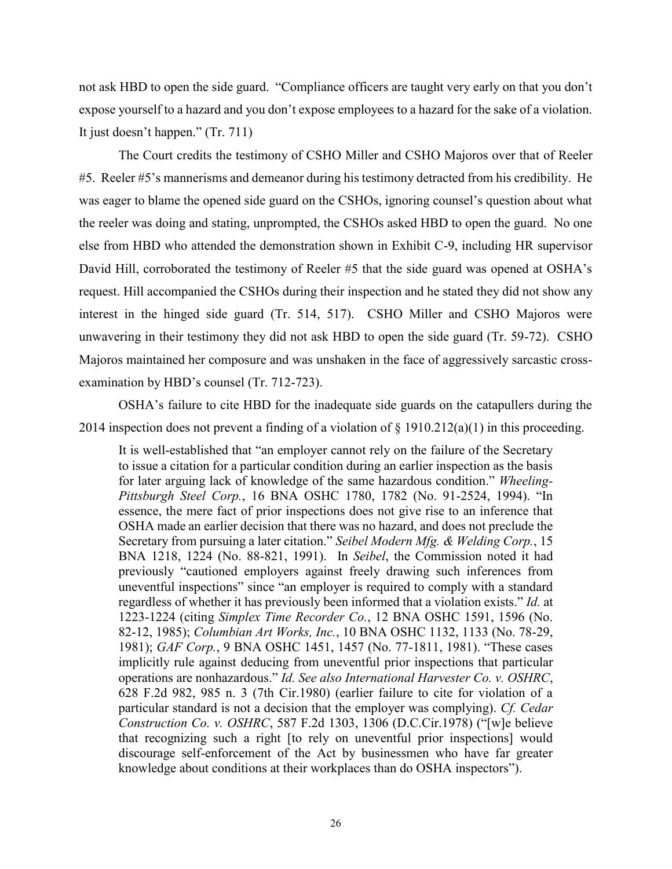not ask HBD to open the side guard. "Compliance officers are taught very early on that you don't expose yourself to a hazard and you don't expose employees to a hazard for the sake of a violation. It just doesn't happen." (Tr. 711)

The Court credits the testimony of CSHO Miller and CSHO Majoros over that of Reeler #5. Reeler #5's mannerisms and demeanor during his testimony detracted from his credibility. He was eager to blame the opened side guard on the CSHOs, ignoring counsel's question about what the reeler was doing and stating, unprompted, the CSHOs asked HBD to open the guard. No one else from HBD who attended the demonstration shown in Exhibit C-9, including HR supervisor David Hill, corroborated the testimony of Reeler #5 that the side guard was opened at OSHA's request. Hill accompanied the CSHOs during their inspection and he stated they did not show any interest in the hinged side guard (Tr. 514, 517). CSHO Miller and CSHO Majoros were unwavering in their testimony they did not ask HBD to open the side guard (Tr. 59-72). CSHO Majoros maintained her composure and was unshaken in the face of aggressively sarcastic crossexamination by HBD's counsel (Tr. 712-723).

OSHA's failure to cite HBD for the inadequate side guards on the catapullers during the 2014 inspection does not prevent a finding of a violation of § 1910.212(a)(1) in this proceeding.

It is well-established that "an employer cannot rely on the failure of the Secretary to issue a citation for a particular condition during an earlier inspection as the basis for later arguing lack of knowledge of the same hazardous condition." *Wheeling-Pittsburgh Steel Corp.*, 16 BNA OSHC 1780, 1782 (No. 91-2524, 1994). "In essence, the mere fact of prior inspections does not give rise to an inference that OSHA made an earlier decision that there was no hazard, and does not preclude the Secretary from pursuing a later citation." *Seibel Modern Mfg. & Welding Corp.*, 15 BNA 1218, 1224 (No. 88-821, 1991). In *Seibel*, the Commission noted it had previously "cautioned employers against freely drawing such inferences from uneventful inspections" since "an employer is required to comply with a standard regardless of whether it has previously been informed that a violation exists." *Id.* at 1223-1224 (citing *Simplex Time Recorder Co.*, 12 BNA OSHC 1591, 1596 (No. 82-12, 1985); *Columbian Art Works, Inc.*, 10 BNA OSHC 1132, 1133 (No. 78-29, 1981); *GAF Corp.*, 9 BNA OSHC 1451, 1457 (No. 77-1811, 1981). "These cases implicitly rule against deducing from uneventful prior inspections that particular operations are nonhazardous." *Id. See also International Harvester Co. v. OSHRC*, 628 F.2d 982, 985 n. 3 (7th Cir.1980) (earlier failure to cite for violation of a particular standard is not a decision that the employer was complying). *Cf. Cedar Construction Co. v. OSHRC*, 587 F.2d 1303, 1306 (D.C.Cir.1978) ("[w]e believe that recognizing such a right [to rely on uneventful prior inspections] would discourage self-enforcement of the Act by businessmen who have far greater knowledge about conditions at their workplaces than do OSHA inspectors").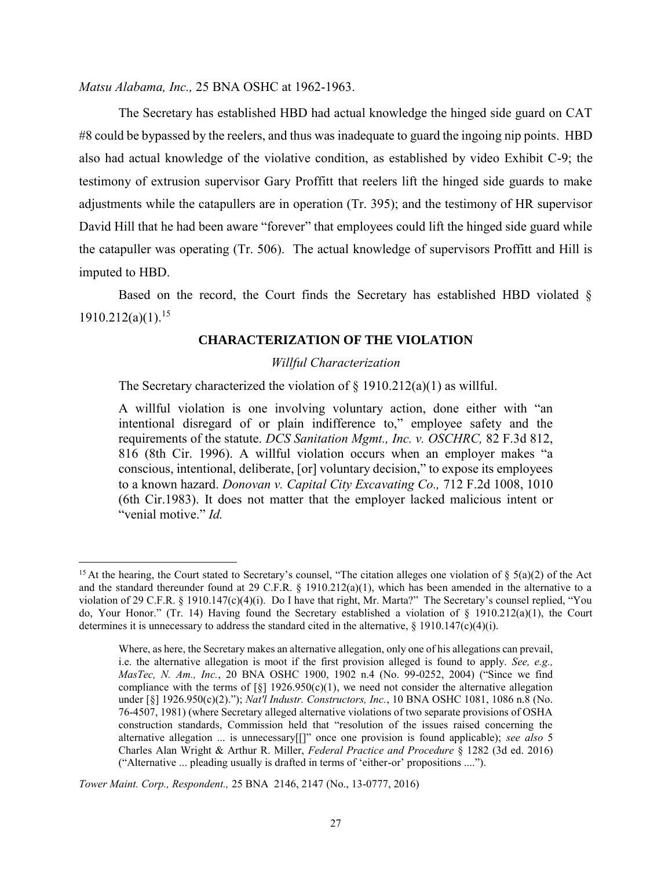*Matsu Alabama, Inc.,* 25 BNA OSHC at 1962-1963.

The Secretary has established HBD had actual knowledge the hinged side guard on CAT #8 could be bypassed by the reelers, and thus was inadequate to guard the ingoing nip points. HBD also had actual knowledge of the violative condition, as established by video Exhibit C-9; the testimony of extrusion supervisor Gary Proffitt that reelers lift the hinged side guards to make adjustments while the catapullers are in operation (Tr. 395); and the testimony of HR supervisor David Hill that he had been aware "forever" that employees could lift the hinged side guard while the catapuller was operating (Tr. 506). The actual knowledge of supervisors Proffitt and Hill is imputed to HBD.

Based on the record, the Court finds the Secretary has established HBD violated §  $1910.212(a)(1).$ <sup>15</sup>

#### **CHARACTERIZATION OF THE VIOLATION**

#### *Willful Characterization*

The Secretary characterized the violation of  $\S$  1910.212(a)(1) as willful.

A willful violation is one involving voluntary action, done either with "an intentional disregard of or plain indifference to," employee safety and the requirements of the statute. *DCS Sanitation Mgmt., Inc. v. OSCHRC,* 82 F.3d 812, 816 (8th Cir. 1996). A willful violation occurs when an employer makes "a conscious, intentional, deliberate, [or] voluntary decision," to expose its employees to a known hazard. *Donovan v. Capital City Excavating Co.,* 712 F.2d 1008, 1010 (6th Cir.1983). It does not matter that the employer lacked malicious intent or "venial motive." *Id.*

<sup>&</sup>lt;sup>15</sup> At the hearing, the Court stated to Secretary's counsel, "The citation alleges one violation of  $\S$  5(a)(2) of the Act and the standard thereunder found at 29 C.F.R. § 1910.212(a)(1), which has been amended in the alternative to a violation of 29 C.F.R. § 1910.147(c)(4)(i). Do I have that right, Mr. Marta?" The Secretary's counsel replied, "You do, Your Honor." (Tr. 14) Having found the Secretary established a violation of § 1910.212(a)(1), the Court determines it is unnecessary to address the standard cited in the alternative, § 1910.147(c)(4)(i).

Where, as here, the Secretary makes an alternative allegation, only one of his allegations can prevail, i.e. the alternative allegation is moot if the first provision alleged is found to apply. *See, e.g., MasTec, N. Am., Inc.*, 20 BNA OSHC 1900, 1902 n.4 (No. 99-0252, 2004) ("Since we find compliance with the terms of  $\lceil \xi \rceil$  1926.950(c)(1), we need not consider the alternative allegation under [§] 1926.950(c)(2)."); *Nat'l Industr. Constructors, Inc.*, 10 BNA OSHC 1081, 1086 n.8 (No. 76-4507, 1981) (where Secretary alleged alternative violations of two separate provisions of OSHA construction standards, Commission held that "resolution of the issues raised concerning the alternative allegation ... is unnecessary[[]" once one provision is found applicable); *see also* 5 Charles Alan Wright & Arthur R. Miller, *Federal Practice and Procedure* § 1282 (3d ed. 2016) ("Alternative ... pleading usually is drafted in terms of 'either-or' propositions ....").

*Tower Maint. Corp., Respondent.,* 25 BNA 2146, 2147 (No., 13-0777, 2016)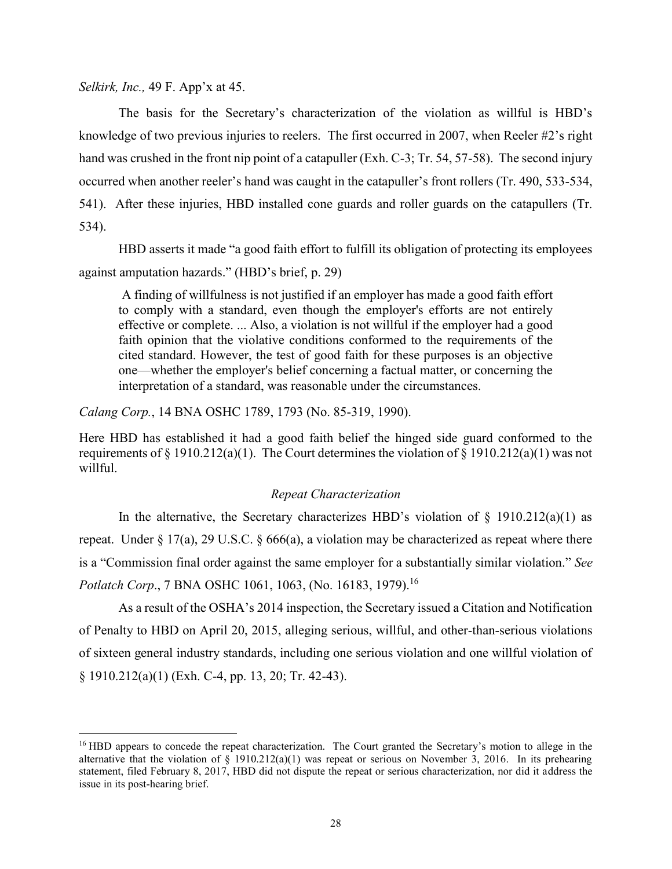*Selkirk, Inc.,* 49 F. App'x at 45.

 $\overline{a}$ 

The basis for the Secretary's characterization of the violation as willful is HBD's knowledge of two previous injuries to reelers. The first occurred in 2007, when Reeler #2's right hand was crushed in the front nip point of a catapuller (Exh. C-3; Tr. 54, 57-58). The second injury occurred when another reeler's hand was caught in the catapuller's front rollers (Tr. 490, 533-534, 541). After these injuries, HBD installed cone guards and roller guards on the catapullers (Tr. 534).

HBD asserts it made "a good faith effort to fulfill its obligation of protecting its employees against amputation hazards." (HBD's brief, p. 29)

A finding of willfulness is not justified if an employer has made a good faith effort to comply with a standard, even though the employer's efforts are not entirely effective or complete. ... Also, a violation is not willful if the employer had a good faith opinion that the violative conditions conformed to the requirements of the cited standard. However, the test of good faith for these purposes is an objective one—whether the employer's belief concerning a factual matter, or concerning the interpretation of a standard, was reasonable under the circumstances.

*Calang Corp.*, 14 BNA OSHC 1789, 1793 (No. 85-319, 1990).

Here HBD has established it had a good faith belief the hinged side guard conformed to the requirements of § 1910.212(a)(1). The Court determines the violation of § 1910.212(a)(1) was not willful.

#### *Repeat Characterization*

In the alternative, the Secretary characterizes HBD's violation of  $\S$  1910.212(a)(1) as repeat. Under  $\S 17(a)$ , 29 U.S.C.  $\S 666(a)$ , a violation may be characterized as repeat where there is a "Commission final order against the same employer for a substantially similar violation." *See Potlatch Corp., 7 BNA OSHC 1061, 1063, (No. 16183, 1979).*<sup>16</sup>

As a result of the OSHA's 2014 inspection, the Secretary issued a Citation and Notification of Penalty to HBD on April 20, 2015, alleging serious, willful, and other-than-serious violations of sixteen general industry standards, including one serious violation and one willful violation of § 1910.212(a)(1) (Exh. C-4, pp. 13, 20; Tr. 42-43).

<sup>&</sup>lt;sup>16</sup> HBD appears to concede the repeat characterization. The Court granted the Secretary's motion to allege in the alternative that the violation of  $\S$  1910.212(a)(1) was repeat or serious on November 3, 2016. In its prehearing statement, filed February 8, 2017, HBD did not dispute the repeat or serious characterization, nor did it address the issue in its post-hearing brief.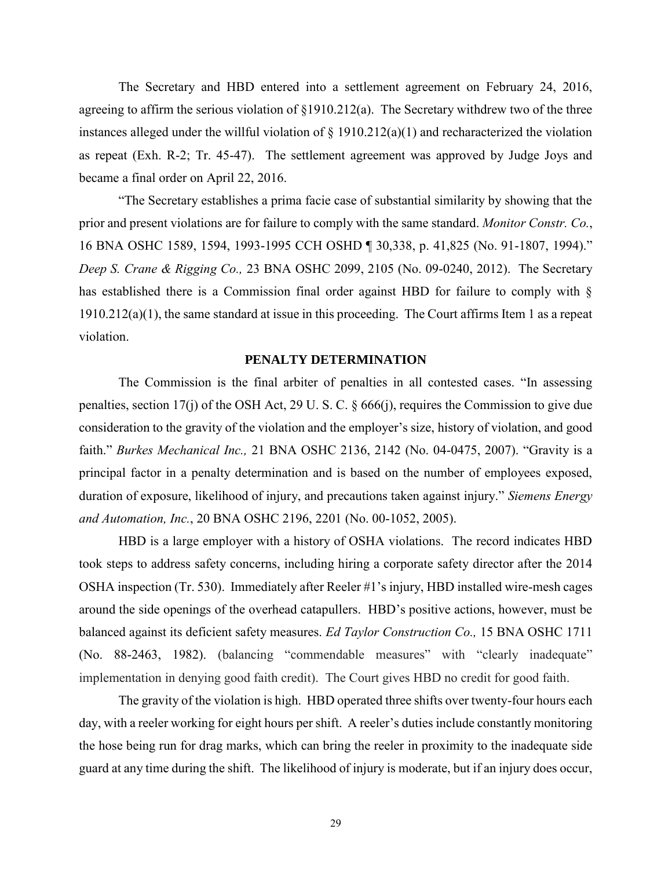The Secretary and HBD entered into a settlement agreement on February 24, 2016, agreeing to affirm the serious violation of §1910.212(a). The Secretary withdrew two of the three instances alleged under the willful violation of  $\S$  1910.212(a)(1) and recharacterized the violation as repeat (Exh. R-2; Tr. 45-47). The settlement agreement was approved by Judge Joys and became a final order on April 22, 2016.

"The Secretary establishes a prima facie case of substantial similarity by showing that the prior and present violations are for failure to comply with the same standard. *Monitor Constr. Co.*, 16 BNA OSHC 1589, 1594, 1993-1995 CCH OSHD ¶ 30,338, p. 41,825 (No. 91-1807, 1994)." *Deep S. Crane & Rigging Co.,* 23 BNA OSHC 2099, 2105 (No. 09-0240, 2012). The Secretary has established there is a Commission final order against HBD for failure to comply with § 1910.212(a)(1), the same standard at issue in this proceeding. The Court affirms Item 1 as a repeat violation.

#### **PENALTY DETERMINATION**

The Commission is the final arbiter of penalties in all contested cases. "In assessing penalties, section 17(j) of the OSH Act, 29 U. S. C. § 666(j), requires the Commission to give due consideration to the gravity of the violation and the employer's size, history of violation, and good faith." *Burkes Mechanical Inc.,* 21 BNA OSHC 2136, 2142 (No. 04-0475, 2007). "Gravity is a principal factor in a penalty determination and is based on the number of employees exposed, duration of exposure, likelihood of injury, and precautions taken against injury." *Siemens Energy and Automation, Inc.*, 20 BNA OSHC 2196, 2201 (No. 00-1052, 2005).

HBD is a large employer with a history of OSHA violations. The record indicates HBD took steps to address safety concerns, including hiring a corporate safety director after the 2014 OSHA inspection (Tr. 530). Immediately after Reeler #1's injury, HBD installed wire-mesh cages around the side openings of the overhead catapullers. HBD's positive actions, however, must be balanced against its deficient safety measures. *Ed Taylor Construction Co.,* 15 BNA OSHC 1711 (No. 88-2463, 1982). (balancing "commendable measures" with "clearly inadequate" implementation in denying good faith credit). The Court gives HBD no credit for good faith.

The gravity of the violation is high. HBD operated three shifts over twenty-four hours each day, with a reeler working for eight hours per shift. A reeler's duties include constantly monitoring the hose being run for drag marks, which can bring the reeler in proximity to the inadequate side guard at any time during the shift. The likelihood of injury is moderate, but if an injury does occur,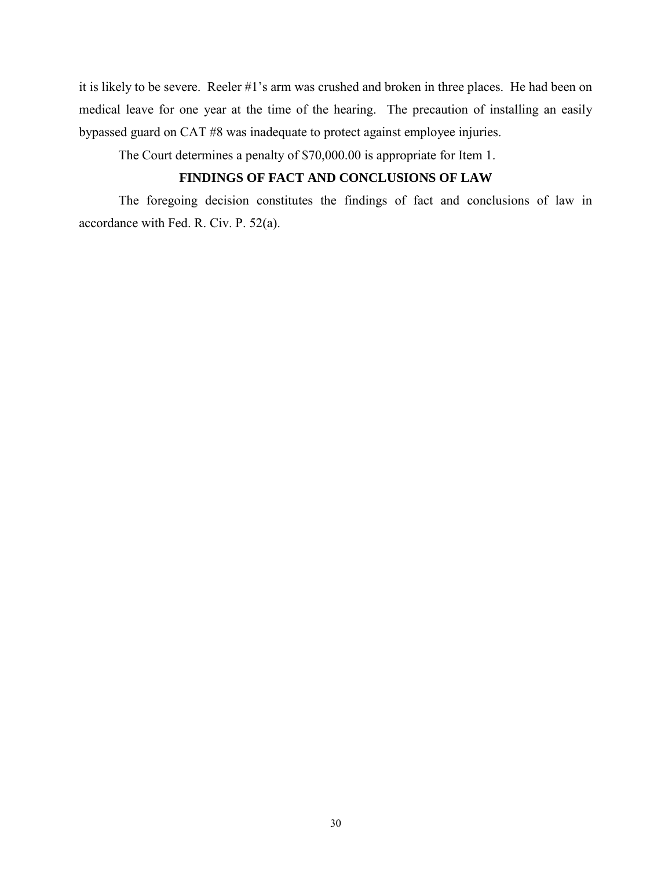it is likely to be severe. Reeler #1's arm was crushed and broken in three places. He had been on medical leave for one year at the time of the hearing. The precaution of installing an easily bypassed guard on CAT #8 was inadequate to protect against employee injuries.

The Court determines a penalty of \$70,000.00 is appropriate for Item 1.

# **FINDINGS OF FACT AND CONCLUSIONS OF LAW**

The foregoing decision constitutes the findings of fact and conclusions of law in accordance with Fed. R. Civ. P. 52(a).